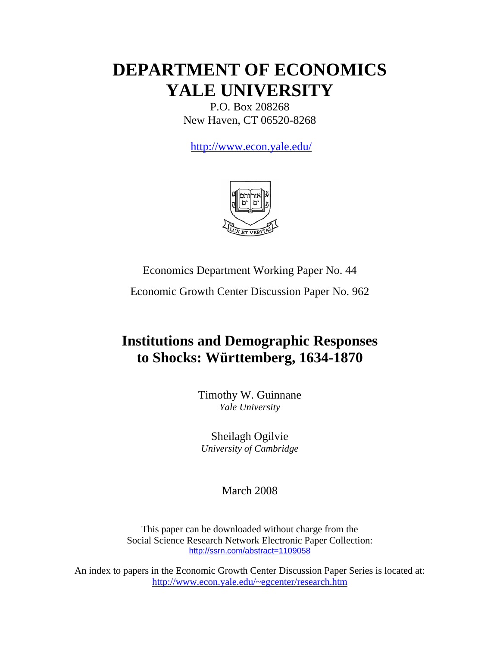# **DEPARTMENT OF ECONOMICS YALE UNIVERSITY**

P.O. Box 208268 New Haven, CT 06520-8268

http://www.econ.yale.edu/



Economics Department Working Paper No. 44

Economic Growth Center Discussion Paper No. 962

## **Institutions and Demographic Responses to Shocks: Württemberg, 1634-1870**

Timothy W. Guinnane *Yale University*

Sheilagh Ogilvie *University of Cambridge*

March 2008

This paper can be downloaded without charge from the Social Science Research Network Electronic Paper Collection: <http://ssrn.com/abstract=1109058>

An index to papers in the Economic Growth Center Discussion Paper Series is located at: <http://www.econ.yale.edu/~egcenter/research.htm>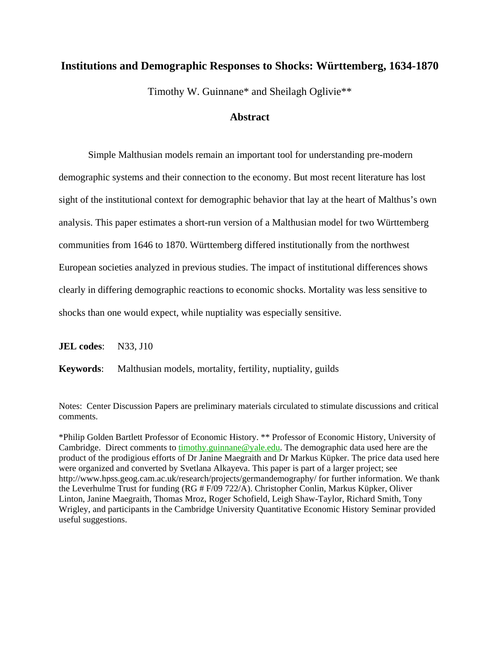## **Institutions and Demographic Responses to Shocks: Württemberg, 1634-1870**

Timothy W. Guinnane\* and Sheilagh Oglivie\*\*

## **Abstract**

Simple Malthusian models remain an important tool for understanding pre-modern demographic systems and their connection to the economy. But most recent literature has lost sight of the institutional context for demographic behavior that lay at the heart of Malthus's own analysis. This paper estimates a short-run version of a Malthusian model for two Württemberg communities from 1646 to 1870. Württemberg differed institutionally from the northwest European societies analyzed in previous studies. The impact of institutional differences shows clearly in differing demographic reactions to economic shocks. Mortality was less sensitive to shocks than one would expect, while nuptiality was especially sensitive.

**JEL codes:** N33, J10

**Keywords**: Malthusian models, mortality, fertility, nuptiality, guilds

Notes: Center Discussion Papers are preliminary materials circulated to stimulate discussions and critical comments.

\*Philip Golden Bartlett Professor of Economic History. \*\* Professor of Economic History, University of Cambridge. Direct comments to timothy guinnane @yale.edu. The demographic data used here are the product of the prodigious efforts of Dr Janine Maegraith and Dr Markus Küpker. The price data used here were organized and converted by Svetlana Alkayeva. This paper is part of a larger project; see http://www.hpss.geog.cam.ac.uk/research/projects/germandemography/ for further information. We thank the Leverhulme Trust for funding (RG # F/09 722/A). Christopher Conlin, Markus Küpker, Oliver Linton, Janine Maegraith, Thomas Mroz, Roger Schofield, Leigh Shaw-Taylor, Richard Smith, Tony Wrigley, and participants in the Cambridge University Quantitative Economic History Seminar provided useful suggestions.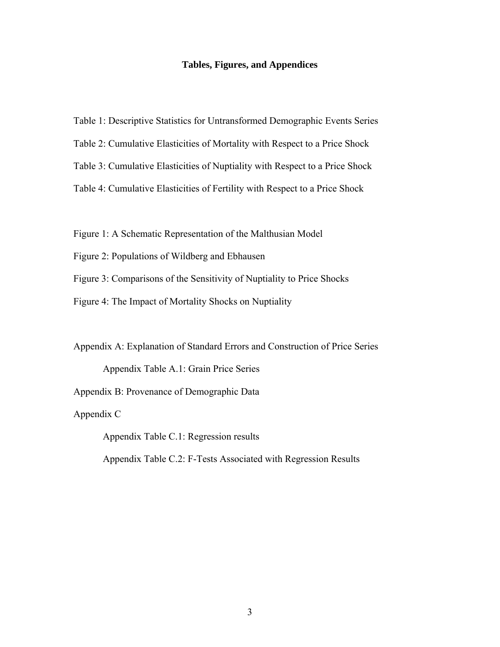#### **Tables, Figures, and Appendices**

- Table 1: Descriptive Statistics for Untransformed Demographic Events Series
- Table 2: Cumulative Elasticities of Mortality with Respect to a Price Shock
- Table 3: Cumulative Elasticities of Nuptiality with Respect to a Price Shock
- Table 4: Cumulative Elasticities of Fertility with Respect to a Price Shock
- Figure 1: A Schematic Representation of the Malthusian Model
- Figure 2: Populations of Wildberg and Ebhausen
- Figure 3: Comparisons of the Sensitivity of Nuptiality to Price Shocks
- Figure 4: The Impact of Mortality Shocks on Nuptiality

Appendix A: Explanation of Standard Errors and Construction of Price Series

Appendix Table A.1: Grain Price Series

Appendix B: Provenance of Demographic Data

Appendix C

Appendix Table C.1: Regression results

Appendix Table C.2: F-Tests Associated with Regression Results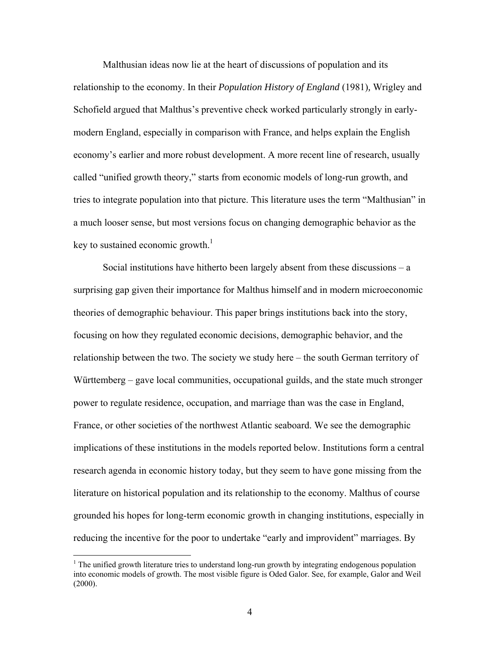Malthusian ideas now lie at the heart of discussions of population and its relationship to the economy. In their *Population History of England* (1981)*,* Wrigley and Schofield argued that Malthus's preventive check worked particularly strongly in earlymodern England, especially in comparison with France, and helps explain the English economy's earlier and more robust development. A more recent line of research, usually called "unified growth theory," starts from economic models of long-run growth, and tries to integrate population into that picture. This literature uses the term "Malthusian" in a much looser sense, but most versions focus on changing demographic behavior as the key to sustained economic growth.<sup>1</sup>

Social institutions have hitherto been largely absent from these discussions – a surprising gap given their importance for Malthus himself and in modern microeconomic theories of demographic behaviour. This paper brings institutions back into the story, focusing on how they regulated economic decisions, demographic behavior, and the relationship between the two. The society we study here – the south German territory of Württemberg – gave local communities, occupational guilds, and the state much stronger power to regulate residence, occupation, and marriage than was the case in England, France, or other societies of the northwest Atlantic seaboard. We see the demographic implications of these institutions in the models reported below. Institutions form a central research agenda in economic history today, but they seem to have gone missing from the literature on historical population and its relationship to the economy. Malthus of course grounded his hopes for long-term economic growth in changing institutions, especially in reducing the incentive for the poor to undertake "early and improvident" marriages. By

 $1$ <sup>1</sup> The unified growth literature tries to understand long-run growth by integrating endogenous population into economic models of growth. The most visible figure is Oded Galor. See, for example, Galor and Weil (2000).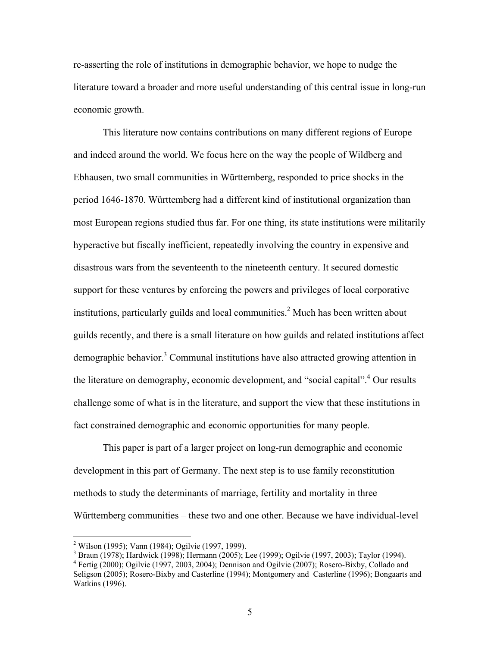re-asserting the role of institutions in demographic behavior, we hope to nudge the literature toward a broader and more useful understanding of this central issue in long-run economic growth.

This literature now contains contributions on many different regions of Europe and indeed around the world. We focus here on the way the people of Wildberg and Ebhausen, two small communities in Württemberg, responded to price shocks in the period 1646-1870. Württemberg had a different kind of institutional organization than most European regions studied thus far. For one thing, its state institutions were militarily hyperactive but fiscally inefficient, repeatedly involving the country in expensive and disastrous wars from the seventeenth to the nineteenth century. It secured domestic support for these ventures by enforcing the powers and privileges of local corporative institutions, particularly guilds and local communities.<sup>2</sup> Much has been written about guilds recently, and there is a small literature on how guilds and related institutions affect demographic behavior.<sup>3</sup> Communal institutions have also attracted growing attention in the literature on demography, economic development, and "social capital".<sup>4</sup> Our results challenge some of what is in the literature, and support the view that these institutions in fact constrained demographic and economic opportunities for many people.

This paper is part of a larger project on long-run demographic and economic development in this part of Germany. The next step is to use family reconstitution methods to study the determinants of marriage, fertility and mortality in three Württemberg communities – these two and one other. Because we have individual-level

<sup>&</sup>lt;sup>2</sup> Wilson (1995); Vann (1984); Ogilvie (1997, 1999).

<sup>3</sup> Braun (1978); Hardwick (1998); Hermann (2005); Lee (1999); Ogilvie (1997, 2003); Taylor (1994).

<sup>&</sup>lt;sup>4</sup> Fertig (2000); Ogilvie (1997, 2003, 2004); Dennison and Ogilvie (2007); Rosero-Bixby, Collado and Seligson (2005); Rosero-Bixby and Casterline (1994); Montgomery and Casterline (1996); Bongaarts and Watkins (1996).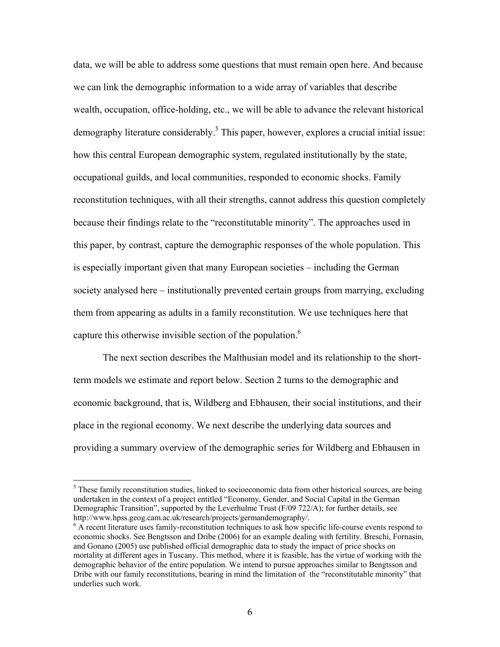data, we will be able to address some questions that must remain open here. And because we can link the demographic information to a wide array of variables that describe wealth, occupation, office-holding, etc., we will be able to advance the relevant historical demography literature considerably.<sup>5</sup> This paper, however, explores a crucial initial issue: how this central European demographic system, regulated institutionally by the state, occupational guilds, and local communities, responded to economic shocks. Family reconstitution techniques, with all their strengths, cannot address this question completely because their findings relate to the "reconstitutable minority". The approaches used in this paper, by contrast, capture the demographic responses of the whole population. This is especially important given that many European societies – including the German society analysed here – institutionally prevented certain groups from marrying, excluding them from appearing as adults in a family reconstitution. We use techniques here that capture this otherwise invisible section of the population.<sup>6</sup>

The next section describes the Malthusian model and its relationship to the shortterm models we estimate and report below. Section 2 turns to the demographic and economic background, that is, Wildberg and Ebhausen, their social institutions, and their place in the regional economy. We next describe the underlying data sources and providing a summary overview of the demographic series for Wildberg and Ebhausen in

<sup>&</sup>lt;sup>5</sup> These family reconstitution studies, linked to socioeconomic data from other historical sources, are being undertaken in the context of a project entitled "Economy, Gender, and Social Capital in the German Demographic Transition", supported by the Leverhulme Trust (F/09 722/A); for further details, see http://www.hpss.geog.cam.ac.uk/research/projects/germandemography/. 6

<sup>&</sup>lt;sup>6</sup> A recent literature uses family-reconstitution techniques to ask how specific life-course events respond to economic shocks. See Bengtsson and Dribe (2006) for an example dealing with fertility. Breschi, Fornasin, and Gonano (2005) use published official demographic data to study the impact of price shocks on mortality at different ages in Tuscany. This method, where it is feasible, has the virtue of working with the demographic behavior of the entire population. We intend to pursue approaches similar to Bengtsson and Dribe with our family reconstitutions, bearing in mind the limitation of the "reconstitutable minority" that underlies such work.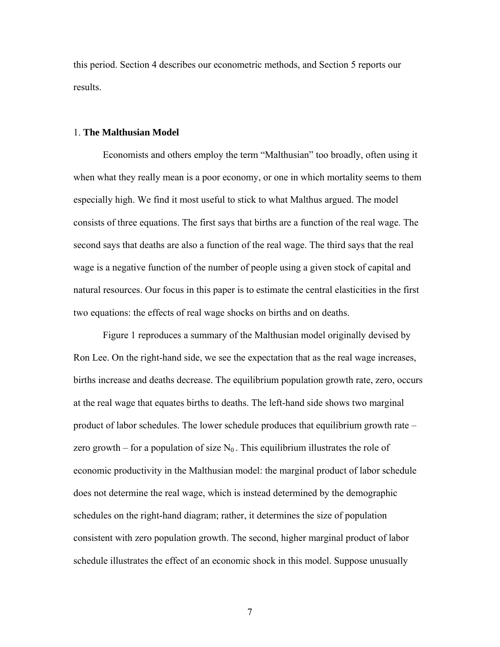this period. Section 4 describes our econometric methods, and Section 5 reports our results.

#### 1. **The Malthusian Model**

Economists and others employ the term "Malthusian" too broadly, often using it when what they really mean is a poor economy, or one in which mortality seems to them especially high. We find it most useful to stick to what Malthus argued. The model consists of three equations. The first says that births are a function of the real wage. The second says that deaths are also a function of the real wage. The third says that the real wage is a negative function of the number of people using a given stock of capital and natural resources. Our focus in this paper is to estimate the central elasticities in the first two equations: the effects of real wage shocks on births and on deaths.

Figure 1 reproduces a summary of the Malthusian model originally devised by Ron Lee. On the right-hand side, we see the expectation that as the real wage increases, births increase and deaths decrease. The equilibrium population growth rate, zero, occurs at the real wage that equates births to deaths. The left-hand side shows two marginal product of labor schedules. The lower schedule produces that equilibrium growth rate – zero growth – for a population of size  $N_0$ . This equilibrium illustrates the role of economic productivity in the Malthusian model: the marginal product of labor schedule does not determine the real wage, which is instead determined by the demographic schedules on the right-hand diagram; rather, it determines the size of population consistent with zero population growth. The second, higher marginal product of labor schedule illustrates the effect of an economic shock in this model. Suppose unusually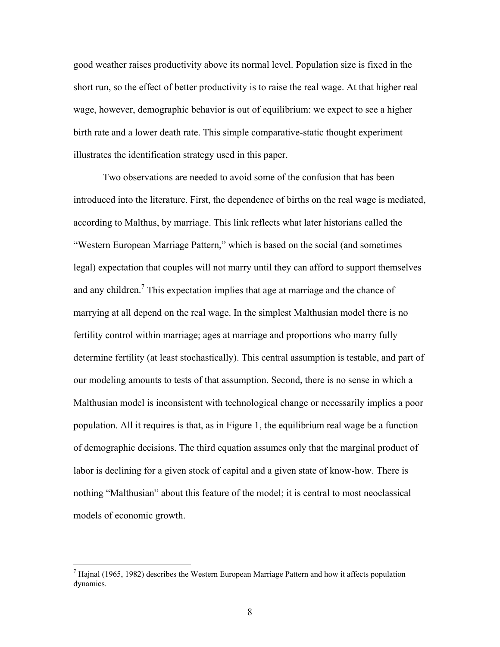good weather raises productivity above its normal level. Population size is fixed in the short run, so the effect of better productivity is to raise the real wage. At that higher real wage, however, demographic behavior is out of equilibrium: we expect to see a higher birth rate and a lower death rate. This simple comparative-static thought experiment illustrates the identification strategy used in this paper.

Two observations are needed to avoid some of the confusion that has been introduced into the literature. First, the dependence of births on the real wage is mediated, according to Malthus, by marriage. This link reflects what later historians called the "Western European Marriage Pattern," which is based on the social (and sometimes legal) expectation that couples will not marry until they can afford to support themselves and any children.<sup>7</sup> This expectation implies that age at marriage and the chance of marrying at all depend on the real wage. In the simplest Malthusian model there is no fertility control within marriage; ages at marriage and proportions who marry fully determine fertility (at least stochastically). This central assumption is testable, and part of our modeling amounts to tests of that assumption. Second, there is no sense in which a Malthusian model is inconsistent with technological change or necessarily implies a poor population. All it requires is that, as in Figure 1, the equilibrium real wage be a function of demographic decisions. The third equation assumes only that the marginal product of labor is declining for a given stock of capital and a given state of know-how. There is nothing "Malthusian" about this feature of the model; it is central to most neoclassical models of economic growth.

<sup>&</sup>lt;sup>7</sup> Hajnal (1965, 1982) describes the Western European Marriage Pattern and how it affects population dynamics.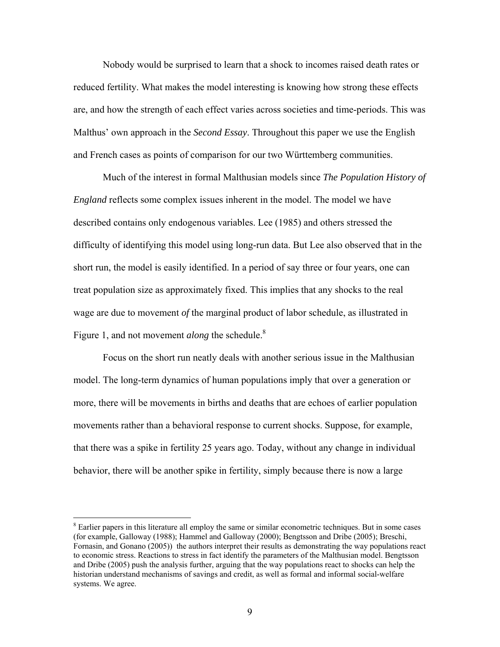Nobody would be surprised to learn that a shock to incomes raised death rates or reduced fertility. What makes the model interesting is knowing how strong these effects are, and how the strength of each effect varies across societies and time-periods. This was Malthus' own approach in the *Second Essay*. Throughout this paper we use the English and French cases as points of comparison for our two Württemberg communities.

Much of the interest in formal Malthusian models since *The Population History of England* reflects some complex issues inherent in the model. The model we have described contains only endogenous variables. Lee (1985) and others stressed the difficulty of identifying this model using long-run data. But Lee also observed that in the short run, the model is easily identified. In a period of say three or four years, one can treat population size as approximately fixed. This implies that any shocks to the real wage are due to movement *of* the marginal product of labor schedule, as illustrated in Figure 1, and not movement *along* the schedule.<sup>8</sup>

Focus on the short run neatly deals with another serious issue in the Malthusian model. The long-term dynamics of human populations imply that over a generation or more, there will be movements in births and deaths that are echoes of earlier population movements rather than a behavioral response to current shocks. Suppose, for example, that there was a spike in fertility 25 years ago. Today, without any change in individual behavior, there will be another spike in fertility, simply because there is now a large

<sup>&</sup>lt;sup>8</sup> Earlier papers in this literature all employ the same or similar econometric techniques. But in some cases (for example, Galloway (1988); Hammel and Galloway (2000); Bengtsson and Dribe (2005); Breschi, Fornasin, and Gonano (2005)) the authors interpret their results as demonstrating the way populations react to economic stress. Reactions to stress in fact identify the parameters of the Malthusian model. Bengtsson and Dribe (2005) push the analysis further, arguing that the way populations react to shocks can help the historian understand mechanisms of savings and credit, as well as formal and informal social-welfare systems. We agree.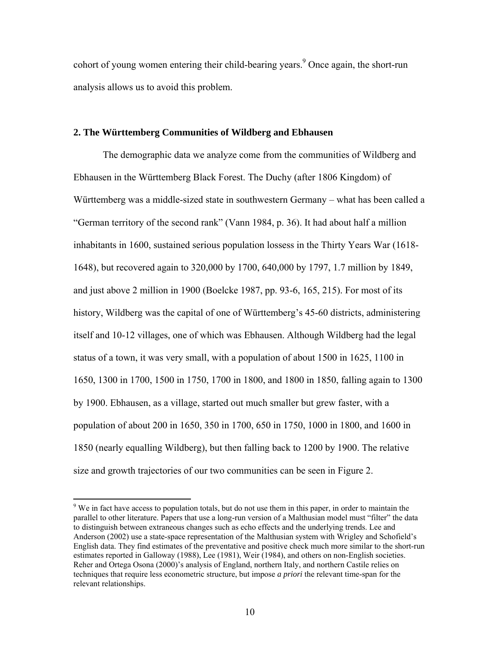cohort of young women entering their child-bearing years.<sup>9</sup> Once again, the short-run analysis allows us to avoid this problem.

#### **2. The Württemberg Communities of Wildberg and Ebhausen**

The demographic data we analyze come from the communities of Wildberg and Ebhausen in the Württemberg Black Forest. The Duchy (after 1806 Kingdom) of Württemberg was a middle-sized state in southwestern Germany – what has been called a "German territory of the second rank" (Vann 1984, p. 36). It had about half a million inhabitants in 1600, sustained serious population lossess in the Thirty Years War (1618- 1648), but recovered again to 320,000 by 1700, 640,000 by 1797, 1.7 million by 1849, and just above 2 million in 1900 (Boelcke 1987, pp. 93-6, 165, 215). For most of its history, Wildberg was the capital of one of Württemberg's 45-60 districts, administering itself and 10-12 villages, one of which was Ebhausen. Although Wildberg had the legal status of a town, it was very small, with a population of about 1500 in 1625, 1100 in 1650, 1300 in 1700, 1500 in 1750, 1700 in 1800, and 1800 in 1850, falling again to 1300 by 1900. Ebhausen, as a village, started out much smaller but grew faster, with a population of about 200 in 1650, 350 in 1700, 650 in 1750, 1000 in 1800, and 1600 in 1850 (nearly equalling Wildberg), but then falling back to 1200 by 1900. The relative size and growth trajectories of our two communities can be seen in Figure 2.

<sup>&</sup>lt;sup>9</sup> We in fact have access to population totals, but do not use them in this paper, in order to maintain the parallel to other literature. Papers that use a long-run version of a Malthusian model must "filter" the data to distinguish between extraneous changes such as echo effects and the underlying trends. Lee and Anderson (2002) use a state-space representation of the Malthusian system with Wrigley and Schofield's English data. They find estimates of the preventative and positive check much more similar to the short-run estimates reported in Galloway (1988), Lee (1981), Weir (1984), and others on non-English societies. Reher and Ortega Osona (2000)'s analysis of England, northern Italy, and northern Castile relies on techniques that require less econometric structure, but impose *a priori* the relevant time-span for the relevant relationships.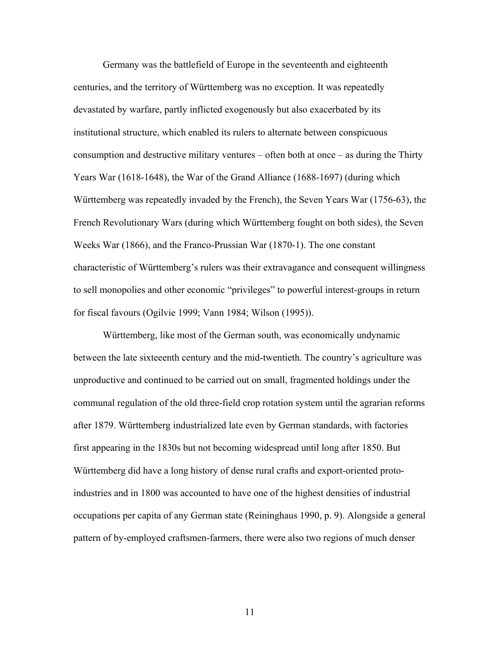Germany was the battlefield of Europe in the seventeenth and eighteenth centuries, and the territory of Württemberg was no exception. It was repeatedly devastated by warfare, partly inflicted exogenously but also exacerbated by its institutional structure, which enabled its rulers to alternate between conspicuous consumption and destructive military ventures – often both at once – as during the Thirty Years War (1618-1648), the War of the Grand Alliance (1688-1697) (during which Württemberg was repeatedly invaded by the French), the Seven Years War (1756-63), the French Revolutionary Wars (during which Württemberg fought on both sides), the Seven Weeks War (1866), and the Franco-Prussian War (1870-1). The one constant characteristic of Württemberg's rulers was their extravagance and consequent willingness to sell monopolies and other economic "privileges" to powerful interest-groups in return for fiscal favours (Ogilvie 1999; Vann 1984; Wilson (1995)).

Württemberg, like most of the German south, was economically undynamic between the late sixteeenth century and the mid-twentieth. The country's agriculture was unproductive and continued to be carried out on small, fragmented holdings under the communal regulation of the old three-field crop rotation system until the agrarian reforms after 1879. Württemberg industrialized late even by German standards, with factories first appearing in the 1830s but not becoming widespread until long after 1850. But Württemberg did have a long history of dense rural crafts and export-oriented protoindustries and in 1800 was accounted to have one of the highest densities of industrial occupations per capita of any German state (Reininghaus 1990, p. 9). Alongside a general pattern of by-employed craftsmen-farmers, there were also two regions of much denser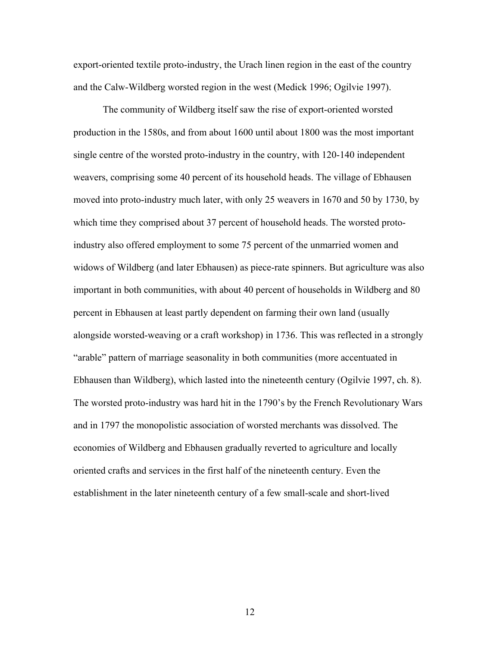export-oriented textile proto-industry, the Urach linen region in the east of the country and the Calw-Wildberg worsted region in the west (Medick 1996; Ogilvie 1997).

The community of Wildberg itself saw the rise of export-oriented worsted production in the 1580s, and from about 1600 until about 1800 was the most important single centre of the worsted proto-industry in the country, with 120-140 independent weavers, comprising some 40 percent of its household heads. The village of Ebhausen moved into proto-industry much later, with only 25 weavers in 1670 and 50 by 1730, by which time they comprised about 37 percent of household heads. The worsted protoindustry also offered employment to some 75 percent of the unmarried women and widows of Wildberg (and later Ebhausen) as piece-rate spinners. But agriculture was also important in both communities, with about 40 percent of households in Wildberg and 80 percent in Ebhausen at least partly dependent on farming their own land (usually alongside worsted-weaving or a craft workshop) in 1736. This was reflected in a strongly "arable" pattern of marriage seasonality in both communities (more accentuated in Ebhausen than Wildberg), which lasted into the nineteenth century (Ogilvie 1997, ch. 8). The worsted proto-industry was hard hit in the 1790's by the French Revolutionary Wars and in 1797 the monopolistic association of worsted merchants was dissolved. The economies of Wildberg and Ebhausen gradually reverted to agriculture and locally oriented crafts and services in the first half of the nineteenth century. Even the establishment in the later nineteenth century of a few small-scale and short-lived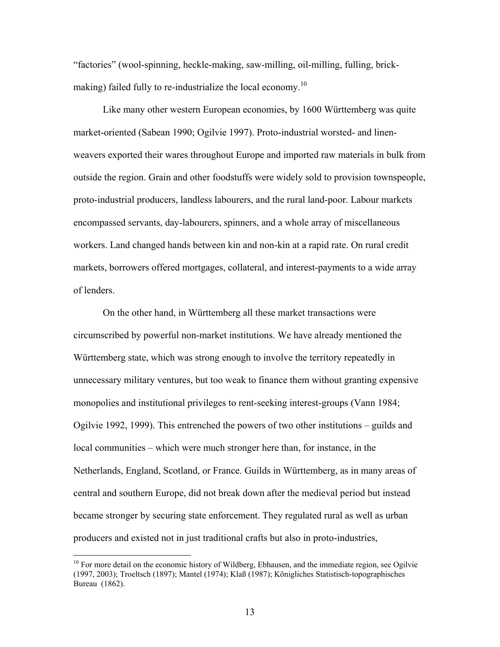"factories" (wool-spinning, heckle-making, saw-milling, oil-milling, fulling, brickmaking) failed fully to re-industrialize the local economy.<sup>10</sup>

Like many other western European economies, by 1600 Württemberg was quite market-oriented (Sabean 1990; Ogilvie 1997). Proto-industrial worsted- and linenweavers exported their wares throughout Europe and imported raw materials in bulk from outside the region. Grain and other foodstuffs were widely sold to provision townspeople, proto-industrial producers, landless labourers, and the rural land-poor. Labour markets encompassed servants, day-labourers, spinners, and a whole array of miscellaneous workers. Land changed hands between kin and non-kin at a rapid rate. On rural credit markets, borrowers offered mortgages, collateral, and interest-payments to a wide array of lenders.

On the other hand, in Württemberg all these market transactions were circumscribed by powerful non-market institutions. We have already mentioned the Württemberg state, which was strong enough to involve the territory repeatedly in unnecessary military ventures, but too weak to finance them without granting expensive monopolies and institutional privileges to rent-seeking interest-groups (Vann 1984; Ogilvie 1992, 1999). This entrenched the powers of two other institutions – guilds and local communities – which were much stronger here than, for instance, in the Netherlands, England, Scotland, or France. Guilds in Württemberg, as in many areas of central and southern Europe, did not break down after the medieval period but instead became stronger by securing state enforcement. They regulated rural as well as urban producers and existed not in just traditional crafts but also in proto-industries,

 $10$  For more detail on the economic history of Wildberg, Ebhausen, and the immediate region, see Ogilvie (1997, 2003); Troeltsch (1897); Mantel (1974); Klaß (1987); Königliches Statistisch-topographisches Bureau (1862).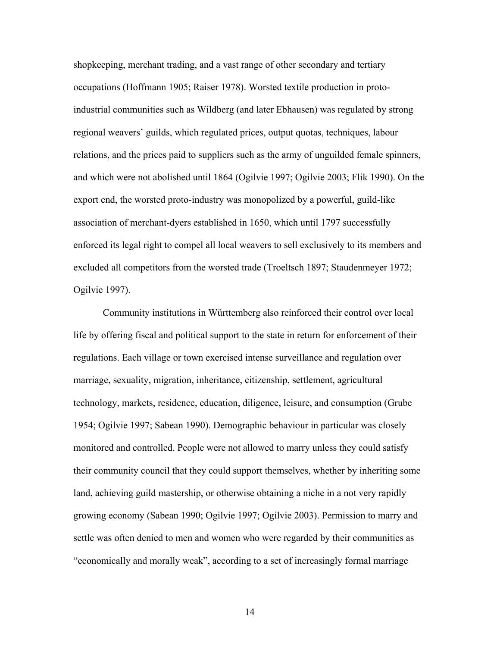shopkeeping, merchant trading, and a vast range of other secondary and tertiary occupations (Hoffmann 1905; Raiser 1978). Worsted textile production in protoindustrial communities such as Wildberg (and later Ebhausen) was regulated by strong regional weavers' guilds, which regulated prices, output quotas, techniques, labour relations, and the prices paid to suppliers such as the army of unguilded female spinners, and which were not abolished until 1864 (Ogilvie 1997; Ogilvie 2003; Flik 1990). On the export end, the worsted proto-industry was monopolized by a powerful, guild-like association of merchant-dyers established in 1650, which until 1797 successfully enforced its legal right to compel all local weavers to sell exclusively to its members and excluded all competitors from the worsted trade (Troeltsch 1897; Staudenmeyer 1972; Ogilvie 1997).

Community institutions in Württemberg also reinforced their control over local life by offering fiscal and political support to the state in return for enforcement of their regulations. Each village or town exercised intense surveillance and regulation over marriage, sexuality, migration, inheritance, citizenship, settlement, agricultural technology, markets, residence, education, diligence, leisure, and consumption (Grube 1954; Ogilvie 1997; Sabean 1990). Demographic behaviour in particular was closely monitored and controlled. People were not allowed to marry unless they could satisfy their community council that they could support themselves, whether by inheriting some land, achieving guild mastership, or otherwise obtaining a niche in a not very rapidly growing economy (Sabean 1990; Ogilvie 1997; Ogilvie 2003). Permission to marry and settle was often denied to men and women who were regarded by their communities as "economically and morally weak", according to a set of increasingly formal marriage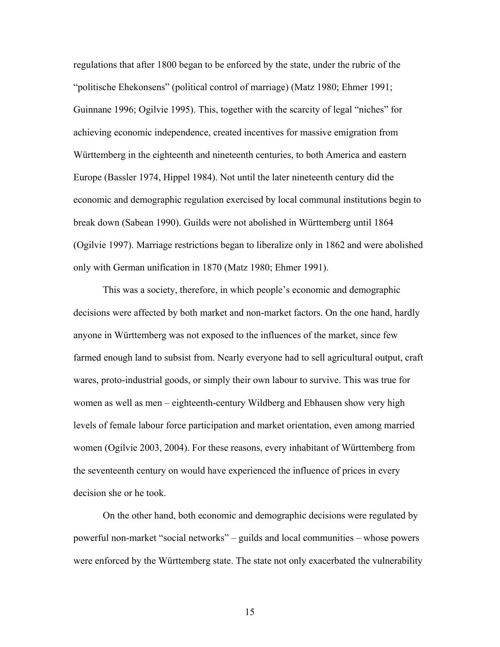regulations that after 1800 began to be enforced by the state, under the rubric of the "politische Ehekonsens" (political control of marriage) (Matz 1980; Ehmer 1991; Guinnane 1996; Ogilvie 1995). This, together with the scarcity of legal "niches" for achieving economic independence, created incentives for massive emigration from Württemberg in the eighteenth and nineteenth centuries, to both America and eastern Europe (Bassler 1974, Hippel 1984). Not until the later nineteenth century did the economic and demographic regulation exercised by local communal institutions begin to break down (Sabean 1990). Guilds were not abolished in Württemberg until 1864 (Ogilvie 1997). Marriage restrictions began to liberalize only in 1862 and were abolished only with German unification in 1870 (Matz 1980; Ehmer 1991).

This was a society, therefore, in which people's economic and demographic decisions were affected by both market and non-market factors. On the one hand, hardly anyone in Württemberg was not exposed to the influences of the market, since few farmed enough land to subsist from. Nearly everyone had to sell agricultural output, craft wares, proto-industrial goods, or simply their own labour to survive. This was true for women as well as men – eighteenth-century Wildberg and Ebhausen show very high levels of female labour force participation and market orientation, even among married women (Ogilvie 2003, 2004). For these reasons, every inhabitant of Württemberg from the seventeenth century on would have experienced the influence of prices in every decision she or he took.

On the other hand, both economic and demographic decisions were regulated by powerful non-market "social networks" – guilds and local communities – whose powers were enforced by the Württemberg state. The state not only exacerbated the vulnerability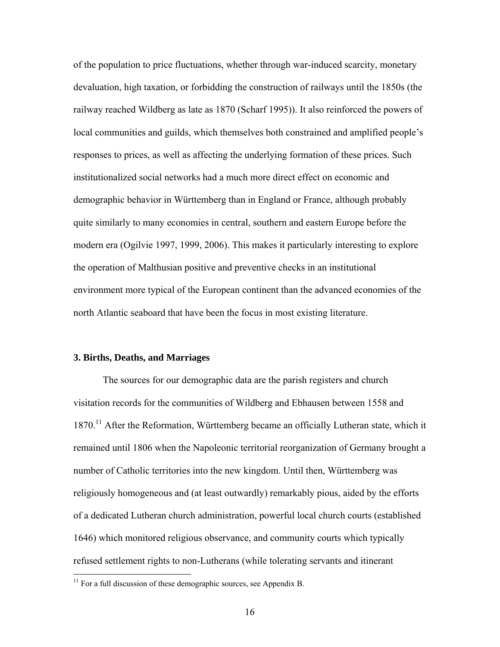of the population to price fluctuations, whether through war-induced scarcity, monetary devaluation, high taxation, or forbidding the construction of railways until the 1850s (the railway reached Wildberg as late as 1870 (Scharf 1995)). It also reinforced the powers of local communities and guilds, which themselves both constrained and amplified people's responses to prices, as well as affecting the underlying formation of these prices. Such institutionalized social networks had a much more direct effect on economic and demographic behavior in Württemberg than in England or France, although probably quite similarly to many economies in central, southern and eastern Europe before the modern era (Ogilvie 1997, 1999, 2006). This makes it particularly interesting to explore the operation of Malthusian positive and preventive checks in an institutional environment more typical of the European continent than the advanced economies of the north Atlantic seaboard that have been the focus in most existing literature.

## **3. Births, Deaths, and Marriages**

 $\overline{a}$ 

The sources for our demographic data are the parish registers and church visitation records for the communities of Wildberg and Ebhausen between 1558 and 1870.<sup>11</sup> After the Reformation, Württemberg became an officially Lutheran state, which it remained until 1806 when the Napoleonic territorial reorganization of Germany brought a number of Catholic territories into the new kingdom. Until then, Württemberg was religiously homogeneous and (at least outwardly) remarkably pious, aided by the efforts of a dedicated Lutheran church administration, powerful local church courts (established 1646) which monitored religious observance, and community courts which typically refused settlement rights to non-Lutherans (while tolerating servants and itinerant

 $11$  For a full discussion of these demographic sources, see Appendix B.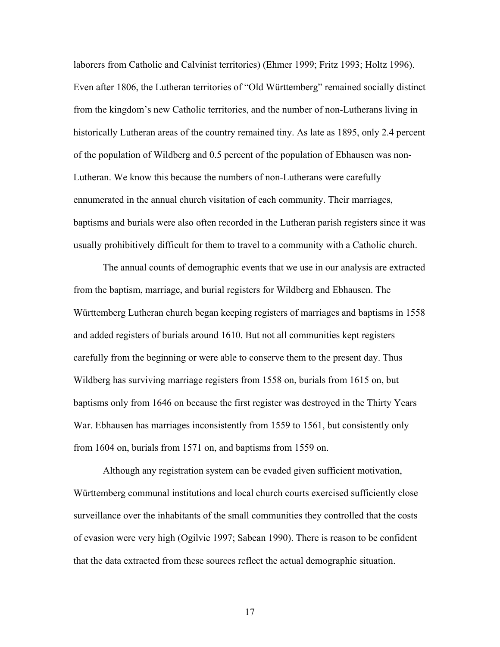laborers from Catholic and Calvinist territories) (Ehmer 1999; Fritz 1993; Holtz 1996). Even after 1806, the Lutheran territories of "Old Württemberg" remained socially distinct from the kingdom's new Catholic territories, and the number of non-Lutherans living in historically Lutheran areas of the country remained tiny. As late as 1895, only 2.4 percent of the population of Wildberg and 0.5 percent of the population of Ebhausen was non-Lutheran. We know this because the numbers of non-Lutherans were carefully ennumerated in the annual church visitation of each community. Their marriages, baptisms and burials were also often recorded in the Lutheran parish registers since it was usually prohibitively difficult for them to travel to a community with a Catholic church.

The annual counts of demographic events that we use in our analysis are extracted from the baptism, marriage, and burial registers for Wildberg and Ebhausen. The Württemberg Lutheran church began keeping registers of marriages and baptisms in 1558 and added registers of burials around 1610. But not all communities kept registers carefully from the beginning or were able to conserve them to the present day. Thus Wildberg has surviving marriage registers from 1558 on, burials from 1615 on, but baptisms only from 1646 on because the first register was destroyed in the Thirty Years War. Ebhausen has marriages inconsistently from 1559 to 1561, but consistently only from 1604 on, burials from 1571 on, and baptisms from 1559 on.

Although any registration system can be evaded given sufficient motivation, Württemberg communal institutions and local church courts exercised sufficiently close surveillance over the inhabitants of the small communities they controlled that the costs of evasion were very high (Ogilvie 1997; Sabean 1990). There is reason to be confident that the data extracted from these sources reflect the actual demographic situation.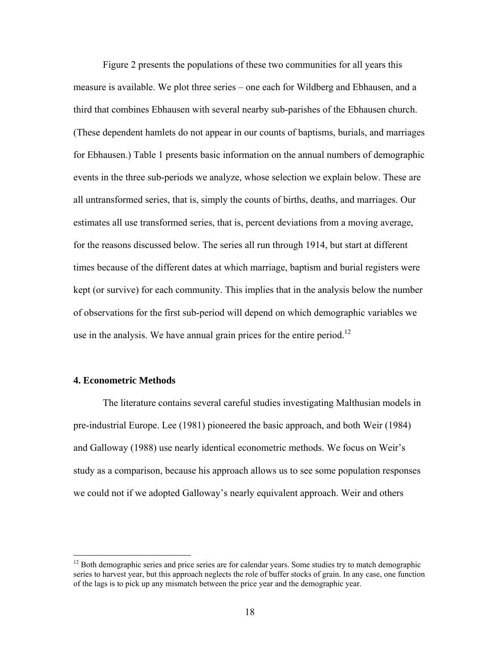Figure 2 presents the populations of these two communities for all years this measure is available. We plot three series – one each for Wildberg and Ebhausen, and a third that combines Ebhausen with several nearby sub-parishes of the Ebhausen church. (These dependent hamlets do not appear in our counts of baptisms, burials, and marriages for Ebhausen.) Table 1 presents basic information on the annual numbers of demographic events in the three sub-periods we analyze, whose selection we explain below. These are all untransformed series, that is, simply the counts of births, deaths, and marriages. Our estimates all use transformed series, that is, percent deviations from a moving average, for the reasons discussed below. The series all run through 1914, but start at different times because of the different dates at which marriage, baptism and burial registers were kept (or survive) for each community. This implies that in the analysis below the number of observations for the first sub-period will depend on which demographic variables we use in the analysis. We have annual grain prices for the entire period.<sup>12</sup>

## **4. Econometric Methods**

 $\overline{a}$ 

The literature contains several careful studies investigating Malthusian models in pre-industrial Europe. Lee (1981) pioneered the basic approach, and both Weir (1984) and Galloway (1988) use nearly identical econometric methods. We focus on Weir's study as a comparison, because his approach allows us to see some population responses we could not if we adopted Galloway's nearly equivalent approach. Weir and others

<sup>&</sup>lt;sup>12</sup> Both demographic series and price series are for calendar years. Some studies try to match demographic series to harvest year, but this approach neglects the role of buffer stocks of grain. In any case, one function of the lags is to pick up any mismatch between the price year and the demographic year.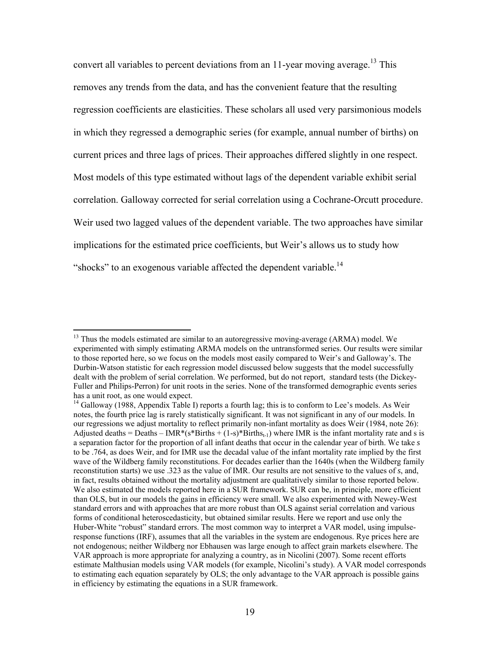convert all variables to percent deviations from an  $11$ -year moving average.<sup>13</sup> This removes any trends from the data, and has the convenient feature that the resulting regression coefficients are elasticities. These scholars all used very parsimonious models in which they regressed a demographic series (for example, annual number of births) on current prices and three lags of prices. Their approaches differed slightly in one respect. Most models of this type estimated without lags of the dependent variable exhibit serial correlation. Galloway corrected for serial correlation using a Cochrane-Orcutt procedure. Weir used two lagged values of the dependent variable. The two approaches have similar implications for the estimated price coefficients, but Weir's allows us to study how "shocks" to an exogenous variable affected the dependent variable.<sup>14</sup>

 $<sup>13</sup>$  Thus the models estimated are similar to an autoregressive moving-average (ARMA) model. We</sup> experimented with simply estimating ARMA models on the untransformed series. Our results were similar to those reported here, so we focus on the models most easily compared to Weir's and Galloway's. The Durbin-Watson statistic for each regression model discussed below suggests that the model successfully dealt with the problem of serial correlation. We performed, but do not report, standard tests (the Dickey-Fuller and Philips-Perron) for unit roots in the series. None of the transformed demographic events series has a unit root, as one would expect.

 $14$  Galloway (1988, Appendix Table I) reports a fourth lag; this is to conform to Lee's models. As Weir notes, the fourth price lag is rarely statistically significant. It was not significant in any of our models. In our regressions we adjust mortality to reflect primarily non-infant mortality as does Weir (1984, note 26): Adjusted deaths = Deaths – IMR\*(s\*Births + (1-s)\*Births<sub>t-1</sub>) where IMR is the infant mortality rate and s is a separation factor for the proportion of all infant deaths that occur in the calendar year of birth. We take *s*  to be .764, as does Weir, and for IMR use the decadal value of the infant mortality rate implied by the first wave of the Wildberg family reconstitutions. For decades earlier than the 1640s (when the Wildberg family reconstitution starts) we use .323 as the value of IMR. Our results are not sensitive to the values of *s*, and, in fact, results obtained without the mortality adjustment are qualitatively similar to those reported below. We also estimated the models reported here in a SUR framework. SUR can be, in principle, more efficient than OLS, but in our models the gains in efficiency were small. We also experimented with Newey-West standard errors and with approaches that are more robust than OLS against serial correlation and various forms of conditional heteroscedasticity, but obtained similar results. Here we report and use only the Huber-White "robust" standard errors. The most common way to interpret a VAR model, using impulseresponse functions (IRF), assumes that all the variables in the system are endogenous. Rye prices here are not endogenous; neither Wildberg nor Ebhausen was large enough to affect grain markets elsewhere. The VAR approach is more appropriate for analyzing a country, as in Nicolini (2007). Some recent efforts estimate Malthusian models using VAR models (for example, Nicolini's study). A VAR model corresponds to estimating each equation separately by OLS; the only advantage to the VAR approach is possible gains in efficiency by estimating the equations in a SUR framework.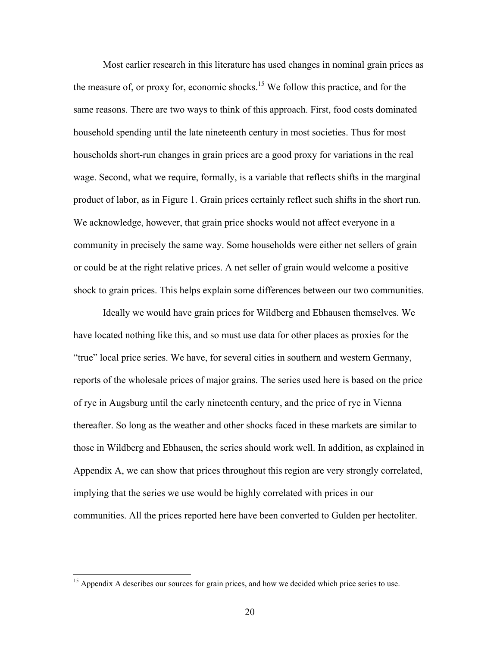Most earlier research in this literature has used changes in nominal grain prices as the measure of, or proxy for, economic shocks.<sup>15</sup> We follow this practice, and for the same reasons. There are two ways to think of this approach. First, food costs dominated household spending until the late nineteenth century in most societies. Thus for most households short-run changes in grain prices are a good proxy for variations in the real wage. Second, what we require, formally, is a variable that reflects shifts in the marginal product of labor, as in Figure 1. Grain prices certainly reflect such shifts in the short run. We acknowledge, however, that grain price shocks would not affect everyone in a community in precisely the same way. Some households were either net sellers of grain or could be at the right relative prices. A net seller of grain would welcome a positive shock to grain prices. This helps explain some differences between our two communities.

Ideally we would have grain prices for Wildberg and Ebhausen themselves. We have located nothing like this, and so must use data for other places as proxies for the "true" local price series. We have, for several cities in southern and western Germany, reports of the wholesale prices of major grains. The series used here is based on the price of rye in Augsburg until the early nineteenth century, and the price of rye in Vienna thereafter. So long as the weather and other shocks faced in these markets are similar to those in Wildberg and Ebhausen, the series should work well. In addition, as explained in Appendix A, we can show that prices throughout this region are very strongly correlated, implying that the series we use would be highly correlated with prices in our communities. All the prices reported here have been converted to Gulden per hectoliter.

<sup>&</sup>lt;sup>15</sup> Appendix A describes our sources for grain prices, and how we decided which price series to use.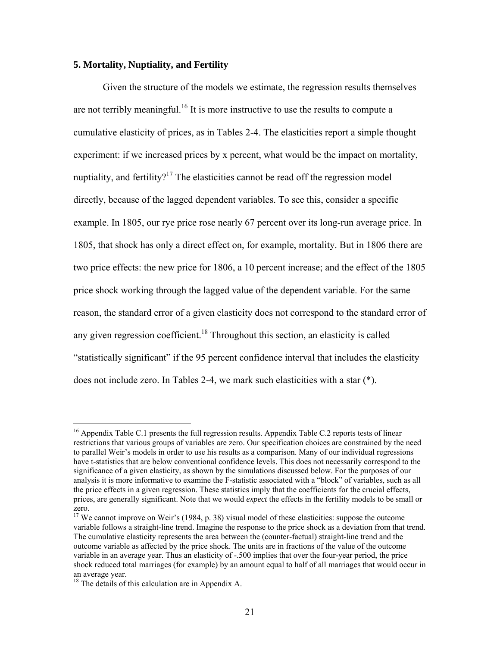#### **5. Mortality, Nuptiality, and Fertility**

Given the structure of the models we estimate, the regression results themselves are not terribly meaningful.<sup>16</sup> It is more instructive to use the results to compute a cumulative elasticity of prices, as in Tables 2-4. The elasticities report a simple thought experiment: if we increased prices by x percent, what would be the impact on mortality, nuptiality, and fertility?<sup>17</sup> The elasticities cannot be read off the regression model directly, because of the lagged dependent variables. To see this, consider a specific example. In 1805, our rye price rose nearly 67 percent over its long-run average price. In 1805, that shock has only a direct effect on, for example, mortality. But in 1806 there are two price effects: the new price for 1806, a 10 percent increase; and the effect of the 1805 price shock working through the lagged value of the dependent variable. For the same reason, the standard error of a given elasticity does not correspond to the standard error of any given regression coefficient.<sup>18</sup> Throughout this section, an elasticity is called "statistically significant" if the 95 percent confidence interval that includes the elasticity does not include zero. In Tables 2-4, we mark such elasticities with a star (\*).

<sup>&</sup>lt;sup>16</sup> Appendix Table C.1 presents the full regression results. Appendix Table C.2 reports tests of linear restrictions that various groups of variables are zero. Our specification choices are constrained by the need to parallel Weir's models in order to use his results as a comparison. Many of our individual regressions have t-statistics that are below conventional confidence levels. This does not necessarily correspond to the significance of a given elasticity, as shown by the simulations discussed below. For the purposes of our analysis it is more informative to examine the F-statistic associated with a "block" of variables, such as all the price effects in a given regression. These statistics imply that the coefficients for the crucial effects, prices, are generally significant. Note that we would *expect* the effects in the fertility models to be small or zero.

<sup>&</sup>lt;sup>17</sup> We cannot improve on Weir's (1984, p. 38) visual model of these elasticities: suppose the outcome variable follows a straight-line trend. Imagine the response to the price shock as a deviation from that trend. The cumulative elasticity represents the area between the (counter-factual) straight-line trend and the outcome variable as affected by the price shock. The units are in fractions of the value of the outcome variable in an average year. Thus an elasticity of -.500 implies that over the four-year period, the price shock reduced total marriages (for example) by an amount equal to half of all marriages that would occur in an average year.

<sup>&</sup>lt;sup>18</sup> The details of this calculation are in Appendix A.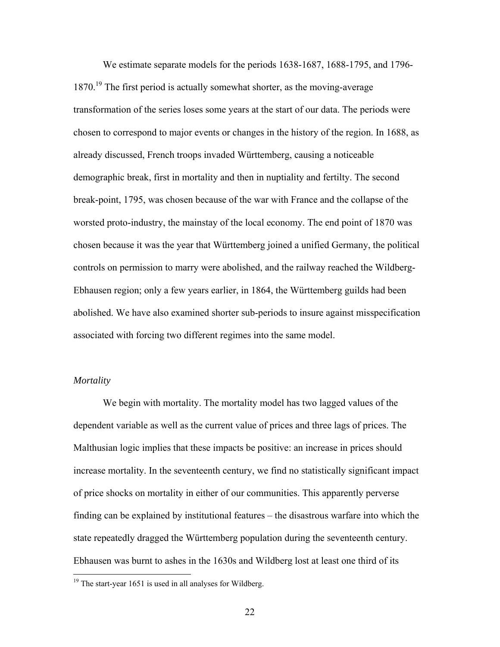We estimate separate models for the periods 1638-1687, 1688-1795, and 1796-  $1870<sup>19</sup>$  The first period is actually somewhat shorter, as the moving-average transformation of the series loses some years at the start of our data. The periods were chosen to correspond to major events or changes in the history of the region. In 1688, as already discussed, French troops invaded Württemberg, causing a noticeable demographic break, first in mortality and then in nuptiality and fertilty. The second break-point, 1795, was chosen because of the war with France and the collapse of the worsted proto-industry, the mainstay of the local economy. The end point of 1870 was chosen because it was the year that Württemberg joined a unified Germany, the political controls on permission to marry were abolished, and the railway reached the Wildberg-Ebhausen region; only a few years earlier, in 1864, the Württemberg guilds had been abolished. We have also examined shorter sub-periods to insure against misspecification associated with forcing two different regimes into the same model.

## *Mortality*

 $\overline{a}$ 

We begin with mortality. The mortality model has two lagged values of the dependent variable as well as the current value of prices and three lags of prices. The Malthusian logic implies that these impacts be positive: an increase in prices should increase mortality. In the seventeenth century, we find no statistically significant impact of price shocks on mortality in either of our communities. This apparently perverse finding can be explained by institutional features – the disastrous warfare into which the state repeatedly dragged the Württemberg population during the seventeenth century. Ebhausen was burnt to ashes in the 1630s and Wildberg lost at least one third of its

 $19$ <sup>19</sup> The start-year 1651 is used in all analyses for Wildberg.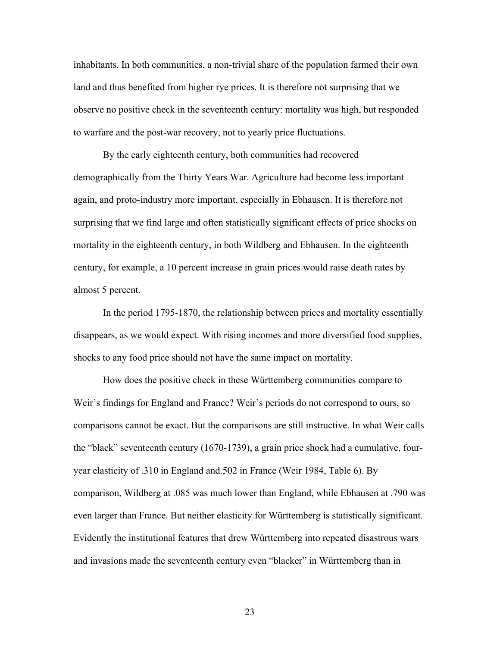inhabitants. In both communities, a non-trivial share of the population farmed their own land and thus benefited from higher rye prices. It is therefore not surprising that we observe no positive check in the seventeenth century: mortality was high, but responded to warfare and the post-war recovery, not to yearly price fluctuations.

By the early eighteenth century, both communities had recovered demographically from the Thirty Years War. Agriculture had become less important again, and proto-industry more important, especially in Ebhausen. It is therefore not surprising that we find large and often statistically significant effects of price shocks on mortality in the eighteenth century, in both Wildberg and Ebhausen. In the eighteenth century, for example, a 10 percent increase in grain prices would raise death rates by almost 5 percent.

In the period 1795-1870, the relationship between prices and mortality essentially disappears, as we would expect. With rising incomes and more diversified food supplies, shocks to any food price should not have the same impact on mortality.

How does the positive check in these Württemberg communities compare to Weir's findings for England and France? Weir's periods do not correspond to ours, so comparisons cannot be exact. But the comparisons are still instructive. In what Weir calls the "black" seventeenth century (1670-1739), a grain price shock had a cumulative, fouryear elasticity of .310 in England and.502 in France (Weir 1984, Table 6). By comparison, Wildberg at .085 was much lower than England, while Ebhausen at .790 was even larger than France. But neither elasticity for Württemberg is statistically significant. Evidently the institutional features that drew Württemberg into repeated disastrous wars and invasions made the seventeenth century even "blacker" in Württemberg than in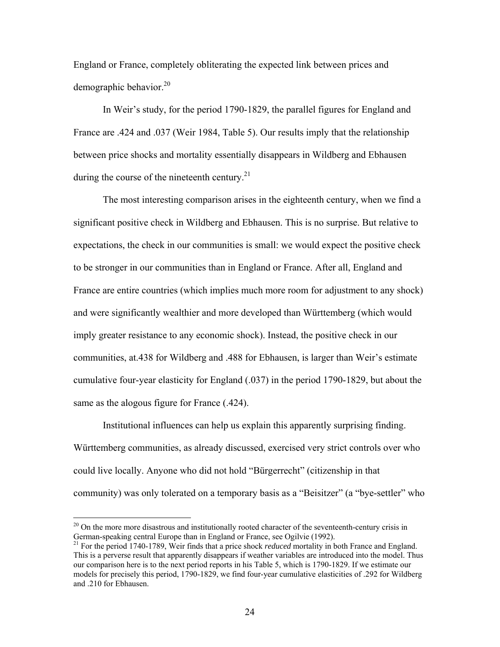England or France, completely obliterating the expected link between prices and demographic behavior.<sup>20</sup>

In Weir's study, for the period 1790-1829, the parallel figures for England and France are .424 and .037 (Weir 1984, Table 5). Our results imply that the relationship between price shocks and mortality essentially disappears in Wildberg and Ebhausen during the course of the nineteenth century.<sup>21</sup>

The most interesting comparison arises in the eighteenth century, when we find a significant positive check in Wildberg and Ebhausen. This is no surprise. But relative to expectations, the check in our communities is small: we would expect the positive check to be stronger in our communities than in England or France. After all, England and France are entire countries (which implies much more room for adjustment to any shock) and were significantly wealthier and more developed than Württemberg (which would imply greater resistance to any economic shock). Instead, the positive check in our communities, at.438 for Wildberg and .488 for Ebhausen, is larger than Weir's estimate cumulative four-year elasticity for England (.037) in the period 1790-1829, but about the same as the alogous figure for France (.424).

Institutional influences can help us explain this apparently surprising finding. Württemberg communities, as already discussed, exercised very strict controls over who could live locally. Anyone who did not hold "Bürgerrecht" (citizenship in that community) was only tolerated on a temporary basis as a "Beisitzer" (a "bye-settler" who

 $20$  On the more more disastrous and institutionally rooted character of the seventeenth-century crisis in German-speaking central Europe than in England or France, see Ogilvie (1992).

<sup>&</sup>lt;sup>21</sup> For the period 1740-1789, Weir finds that a price shock *reduced* mortality in both France and England. This is a perverse result that apparently disappears if weather variables are introduced into the model. Thus our comparison here is to the next period reports in his Table 5, which is 1790-1829. If we estimate our models for precisely this period, 1790-1829, we find four-year cumulative elasticities of .292 for Wildberg and .210 for Ebhausen.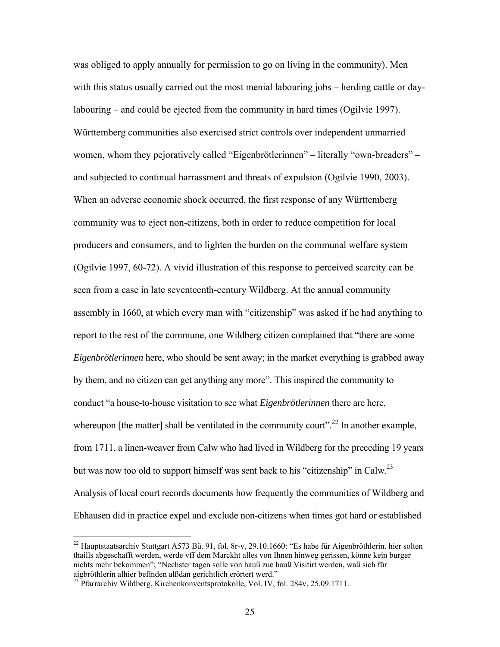was obliged to apply annually for permission to go on living in the community). Men with this status usually carried out the most menial labouring jobs – herding cattle or daylabouring – and could be ejected from the community in hard times (Ogilvie 1997). Württemberg communities also exercised strict controls over independent unmarried women, whom they pejoratively called "Eigenbrötlerinnen" – literally "own-breaders" – and subjected to continual harrassment and threats of expulsion (Ogilvie 1990, 2003). When an adverse economic shock occurred, the first response of any Württemberg community was to eject non-citizens, both in order to reduce competition for local producers and consumers, and to lighten the burden on the communal welfare system (Ogilvie 1997, 60-72). A vivid illustration of this response to perceived scarcity can be seen from a case in late seventeenth-century Wildberg. At the annual community assembly in 1660, at which every man with "citizenship" was asked if he had anything to report to the rest of the commune, one Wildberg citizen complained that "there are some *Eigenbrötlerinnen* here, who should be sent away; in the market everything is grabbed away by them, and no citizen can get anything any more". This inspired the community to conduct "a house-to-house visitation to see what *Eigenbrötlerinnen* there are here, whereupon [the matter] shall be ventilated in the community court".<sup>22</sup> In another example, from 1711, a linen-weaver from Calw who had lived in Wildberg for the preceding 19 years but was now too old to support himself was sent back to his "citizenship" in Calw.<sup>23</sup> Analysis of local court records documents how frequently the communities of Wildberg and Ebhausen did in practice expel and exclude non-citizens when times got hard or established

 $22$  Hauptstaatsarchiv Stuttgart A573 Bü. 91, fol. 8r-v, 29.10.1660: "Es habe für Aigenbröthlerin. hier solten thaills abgeschafft werden, werde vff dem Marckht alles von Ihnen hinweg gerissen, könne kein burger nichts mehr bekommen"; "Nechster tagen solle von hauß zue hauß Visitirt werden, waß sich für aigbröthlerin alhier befinden alßdan gerichtlich erörtert werd."

<sup>&</sup>lt;sup>23</sup> Pfarrarchiv Wildberg, Kirchenkonventsprotokolle, Vol. IV, fol. 284v, 25.09.1711.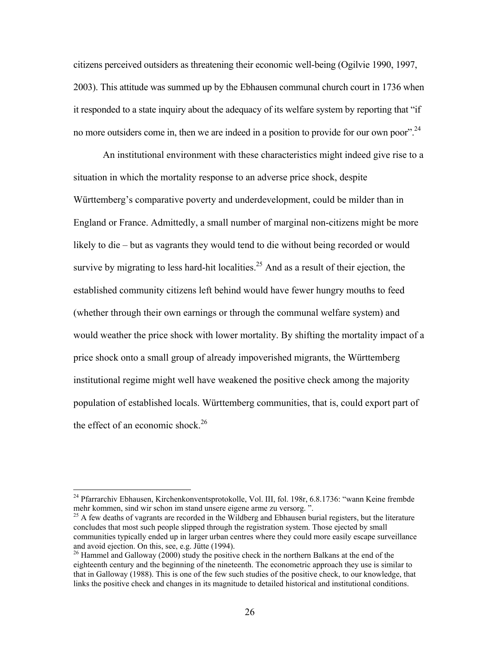citizens perceived outsiders as threatening their economic well-being (Ogilvie 1990, 1997, 2003). This attitude was summed up by the Ebhausen communal church court in 1736 when it responded to a state inquiry about the adequacy of its welfare system by reporting that "if no more outsiders come in, then we are indeed in a position to provide for our own poor".<sup>24</sup>

An institutional environment with these characteristics might indeed give rise to a situation in which the mortality response to an adverse price shock, despite Württemberg's comparative poverty and underdevelopment, could be milder than in England or France. Admittedly, a small number of marginal non-citizens might be more likely to die – but as vagrants they would tend to die without being recorded or would survive by migrating to less hard-hit localities.<sup>25</sup> And as a result of their ejection, the established community citizens left behind would have fewer hungry mouths to feed (whether through their own earnings or through the communal welfare system) and would weather the price shock with lower mortality. By shifting the mortality impact of a price shock onto a small group of already impoverished migrants, the Württemberg institutional regime might well have weakened the positive check among the majority population of established locals. Württemberg communities, that is, could export part of the effect of an economic shock.<sup>26</sup>

<sup>&</sup>lt;sup>24</sup> Pfarrarchiv Ebhausen, Kirchenkonventsprotokolle, Vol. III, fol. 198r, 6.8.1736: "wann Keine frembde mehr kommen, sind wir schon im stand unsere eigene arme zu versorg. ".

 $^{25}$  A few deaths of vagrants are recorded in the Wildberg and Ebhausen burial registers, but the literature concludes that most such people slipped through the registration system. Those ejected by small communities typically ended up in larger urban centres where they could more easily escape surveillance and avoid ejection. On this, see, e.g. Jütte (1994).<br><sup>26</sup> Hammel and Galloway (2000) study the positive check in the northern Balkans at the end of the

eighteenth century and the beginning of the nineteenth. The econometric approach they use is similar to that in Galloway (1988). This is one of the few such studies of the positive check, to our knowledge, that links the positive check and changes in its magnitude to detailed historical and institutional conditions.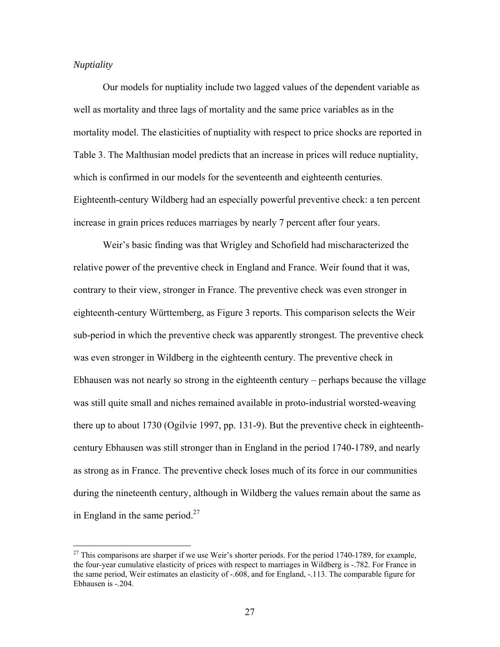## *Nuptiality*

 $\overline{a}$ 

Our models for nuptiality include two lagged values of the dependent variable as well as mortality and three lags of mortality and the same price variables as in the mortality model. The elasticities of nuptiality with respect to price shocks are reported in Table 3. The Malthusian model predicts that an increase in prices will reduce nuptiality, which is confirmed in our models for the seventeenth and eighteenth centuries. Eighteenth-century Wildberg had an especially powerful preventive check: a ten percent increase in grain prices reduces marriages by nearly 7 percent after four years.

Weir's basic finding was that Wrigley and Schofield had mischaracterized the relative power of the preventive check in England and France. Weir found that it was, contrary to their view, stronger in France. The preventive check was even stronger in eighteenth-century Württemberg, as Figure 3 reports. This comparison selects the Weir sub-period in which the preventive check was apparently strongest. The preventive check was even stronger in Wildberg in the eighteenth century. The preventive check in Ebhausen was not nearly so strong in the eighteenth century – perhaps because the village was still quite small and niches remained available in proto-industrial worsted-weaving there up to about 1730 (Ogilvie 1997, pp. 131-9). But the preventive check in eighteenthcentury Ebhausen was still stronger than in England in the period 1740-1789, and nearly as strong as in France. The preventive check loses much of its force in our communities during the nineteenth century, although in Wildberg the values remain about the same as in England in the same period. $27$ 

<sup>&</sup>lt;sup>27</sup> This comparisons are sharper if we use Weir's shorter periods. For the period 1740-1789, for example, the four-year cumulative elasticity of prices with respect to marriages in Wildberg is -.782. For France in the same period, Weir estimates an elasticity of -.608, and for England, -.113. The comparable figure for Ebhausen is -.204.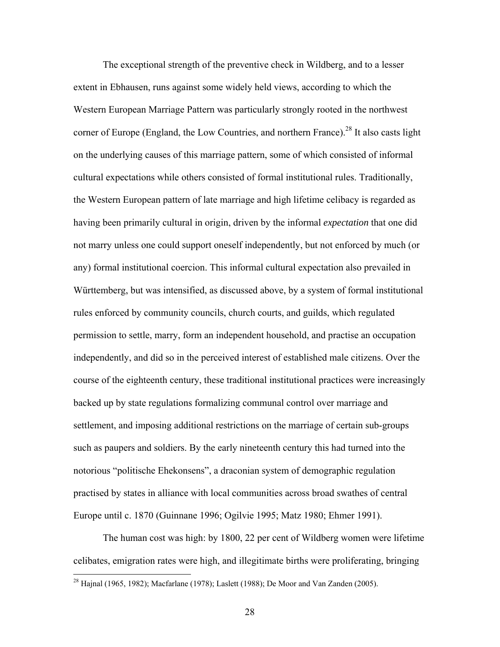The exceptional strength of the preventive check in Wildberg, and to a lesser extent in Ebhausen, runs against some widely held views, according to which the Western European Marriage Pattern was particularly strongly rooted in the northwest corner of Europe (England, the Low Countries, and northern France).<sup>28</sup> It also casts light on the underlying causes of this marriage pattern, some of which consisted of informal cultural expectations while others consisted of formal institutional rules. Traditionally, the Western European pattern of late marriage and high lifetime celibacy is regarded as having been primarily cultural in origin, driven by the informal *expectation* that one did not marry unless one could support oneself independently, but not enforced by much (or any) formal institutional coercion. This informal cultural expectation also prevailed in Württemberg, but was intensified, as discussed above, by a system of formal institutional rules enforced by community councils, church courts, and guilds, which regulated permission to settle, marry, form an independent household, and practise an occupation independently, and did so in the perceived interest of established male citizens. Over the course of the eighteenth century, these traditional institutional practices were increasingly backed up by state regulations formalizing communal control over marriage and settlement, and imposing additional restrictions on the marriage of certain sub-groups such as paupers and soldiers. By the early nineteenth century this had turned into the notorious "politische Ehekonsens", a draconian system of demographic regulation practised by states in alliance with local communities across broad swathes of central Europe until c. 1870 (Guinnane 1996; Ogilvie 1995; Matz 1980; Ehmer 1991).

The human cost was high: by 1800, 22 per cent of Wildberg women were lifetime celibates, emigration rates were high, and illegitimate births were proliferating, bringing

<sup>&</sup>lt;sup>28</sup> Hajnal (1965, 1982); Macfarlane (1978); Laslett (1988); De Moor and Van Zanden (2005).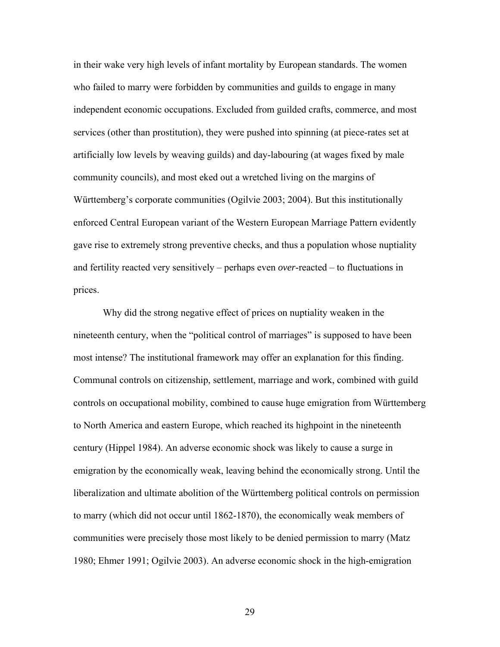in their wake very high levels of infant mortality by European standards. The women who failed to marry were forbidden by communities and guilds to engage in many independent economic occupations. Excluded from guilded crafts, commerce, and most services (other than prostitution), they were pushed into spinning (at piece-rates set at artificially low levels by weaving guilds) and day-labouring (at wages fixed by male community councils), and most eked out a wretched living on the margins of Württemberg's corporate communities (Ogilvie 2003; 2004). But this institutionally enforced Central European variant of the Western European Marriage Pattern evidently gave rise to extremely strong preventive checks, and thus a population whose nuptiality and fertility reacted very sensitively – perhaps even *over*-reacted – to fluctuations in prices.

Why did the strong negative effect of prices on nuptiality weaken in the nineteenth century, when the "political control of marriages" is supposed to have been most intense? The institutional framework may offer an explanation for this finding. Communal controls on citizenship, settlement, marriage and work, combined with guild controls on occupational mobility, combined to cause huge emigration from Württemberg to North America and eastern Europe, which reached its highpoint in the nineteenth century (Hippel 1984). An adverse economic shock was likely to cause a surge in emigration by the economically weak, leaving behind the economically strong. Until the liberalization and ultimate abolition of the Württemberg political controls on permission to marry (which did not occur until 1862-1870), the economically weak members of communities were precisely those most likely to be denied permission to marry (Matz 1980; Ehmer 1991; Ogilvie 2003). An adverse economic shock in the high-emigration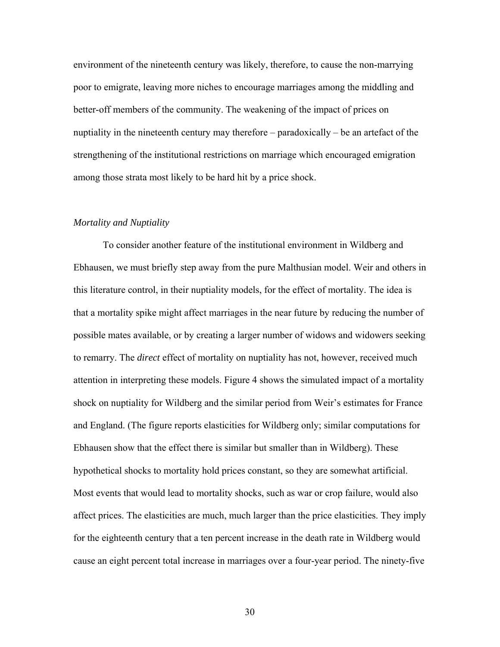environment of the nineteenth century was likely, therefore, to cause the non-marrying poor to emigrate, leaving more niches to encourage marriages among the middling and better-off members of the community. The weakening of the impact of prices on nuptiality in the nineteenth century may therefore – paradoxically – be an artefact of the strengthening of the institutional restrictions on marriage which encouraged emigration among those strata most likely to be hard hit by a price shock.

#### *Mortality and Nuptiality*

To consider another feature of the institutional environment in Wildberg and Ebhausen, we must briefly step away from the pure Malthusian model. Weir and others in this literature control, in their nuptiality models, for the effect of mortality. The idea is that a mortality spike might affect marriages in the near future by reducing the number of possible mates available, or by creating a larger number of widows and widowers seeking to remarry. The *direct* effect of mortality on nuptiality has not, however, received much attention in interpreting these models. Figure 4 shows the simulated impact of a mortality shock on nuptiality for Wildberg and the similar period from Weir's estimates for France and England. (The figure reports elasticities for Wildberg only; similar computations for Ebhausen show that the effect there is similar but smaller than in Wildberg). These hypothetical shocks to mortality hold prices constant, so they are somewhat artificial. Most events that would lead to mortality shocks, such as war or crop failure, would also affect prices. The elasticities are much, much larger than the price elasticities. They imply for the eighteenth century that a ten percent increase in the death rate in Wildberg would cause an eight percent total increase in marriages over a four-year period. The ninety-five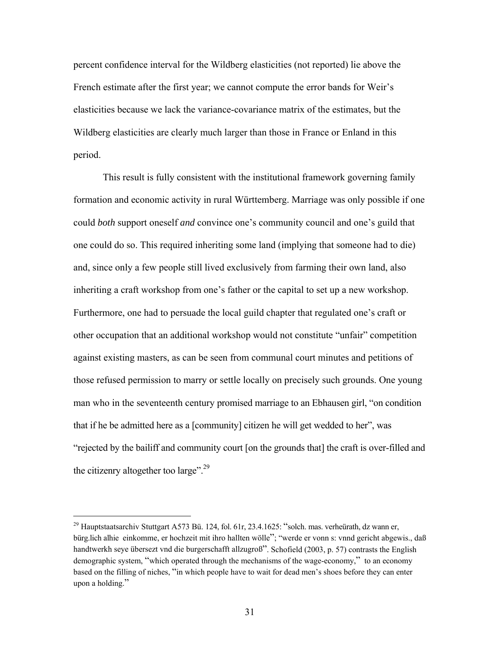percent confidence interval for the Wildberg elasticities (not reported) lie above the French estimate after the first year; we cannot compute the error bands for Weir's elasticities because we lack the variance-covariance matrix of the estimates, but the Wildberg elasticities are clearly much larger than those in France or Enland in this period.

This result is fully consistent with the institutional framework governing family formation and economic activity in rural Württemberg. Marriage was only possible if one could *both* support oneself *and* convince one's community council and one's guild that one could do so. This required inheriting some land (implying that someone had to die) and, since only a few people still lived exclusively from farming their own land, also inheriting a craft workshop from one's father or the capital to set up a new workshop. Furthermore, one had to persuade the local guild chapter that regulated one's craft or other occupation that an additional workshop would not constitute "unfair" competition against existing masters, as can be seen from communal court minutes and petitions of those refused permission to marry or settle locally on precisely such grounds. One young man who in the seventeenth century promised marriage to an Ebhausen girl, "on condition that if he be admitted here as a [community] citizen he will get wedded to her", was "rejected by the bailiff and community court [on the grounds that] the craft is over-filled and the citizenry altogether too large".<sup>29</sup>

<u>.</u>

 $^{29}$  Hauptstaatsarchiv Stuttgart A573 Bü. 124, fol. 61r, 23.4.1625: "solch. mas. verheürath, dz wann er, bürg.lich alhie einkomme, er hochzeit mit ihro hallten wölle"; "werde er vonn s: vnnd gericht abgewis., daß handtwerkh seye übersezt vnd die burgerschafft allzugroß". Schofield (2003, p. 57) contrasts the English demographic system, "which operated through the mechanisms of the wage-economy," to an economy based on the filling of niches, "in which people have to wait for dead men's shoes before they can enter upon a holding."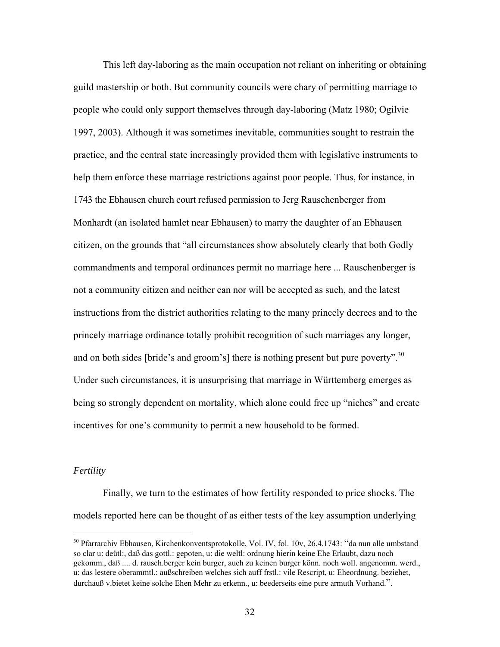This left day-laboring as the main occupation not reliant on inheriting or obtaining guild mastership or both. But community councils were chary of permitting marriage to people who could only support themselves through day-laboring (Matz 1980; Ogilvie 1997, 2003). Although it was sometimes inevitable, communities sought to restrain the practice, and the central state increasingly provided them with legislative instruments to help them enforce these marriage restrictions against poor people. Thus, for instance, in 1743 the Ebhausen church court refused permission to Jerg Rauschenberger from Monhardt (an isolated hamlet near Ebhausen) to marry the daughter of an Ebhausen citizen, on the grounds that "all circumstances show absolutely clearly that both Godly commandments and temporal ordinances permit no marriage here ... Rauschenberger is not a community citizen and neither can nor will be accepted as such, and the latest instructions from the district authorities relating to the many princely decrees and to the princely marriage ordinance totally prohibit recognition of such marriages any longer, and on both sides [bride's and groom's] there is nothing present but pure poverty".<sup>30</sup> Under such circumstances, it is unsurprising that marriage in Württemberg emerges as being so strongly dependent on mortality, which alone could free up "niches" and create incentives for one's community to permit a new household to be formed.

#### *Fertility*

1

Finally, we turn to the estimates of how fertility responded to price shocks. The models reported here can be thought of as either tests of the key assumption underlying

<sup>30</sup> Pfarrarchiv Ebhausen, Kirchenkonventsprotokolle, Vol. IV, fol. 10v, 26.4.1743: "da nun alle umbstand so clar u: deütl:, daß das gottl.: gepoten, u: die weltl: ordnung hierin keine Ehe Erlaubt, dazu noch gekomm., daß .... d. rausch.berger kein burger, auch zu keinen burger könn. noch woll. angenomm. werd., u: das lestere oberammtl.: außschreiben welches sich auff frstl.: vile Rescript, u: Eheordnung. beziehet, durchauß v.bietet keine solche Ehen Mehr zu erkenn., u: beederseits eine pure armuth Vorhand.".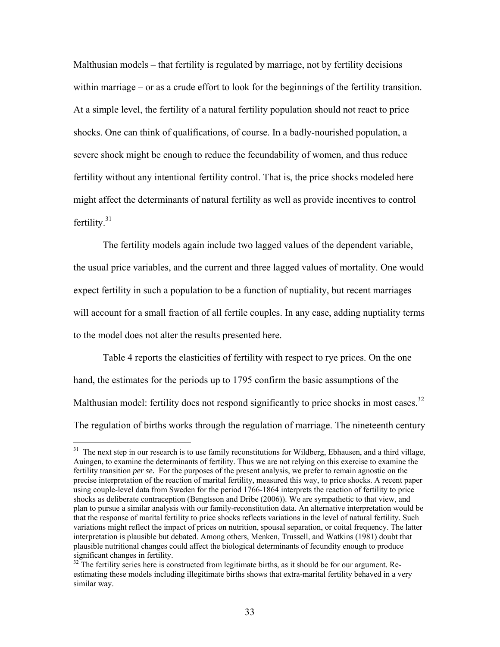Malthusian models – that fertility is regulated by marriage, not by fertility decisions within marriage – or as a crude effort to look for the beginnings of the fertility transition. At a simple level, the fertility of a natural fertility population should not react to price shocks. One can think of qualifications, of course. In a badly-nourished population, a severe shock might be enough to reduce the fecundability of women, and thus reduce fertility without any intentional fertility control. That is, the price shocks modeled here might affect the determinants of natural fertility as well as provide incentives to control fertility. $31$ 

The fertility models again include two lagged values of the dependent variable, the usual price variables, and the current and three lagged values of mortality. One would expect fertility in such a population to be a function of nuptiality, but recent marriages will account for a small fraction of all fertile couples. In any case, adding nuptiality terms to the model does not alter the results presented here.

Table 4 reports the elasticities of fertility with respect to rye prices. On the one hand, the estimates for the periods up to 1795 confirm the basic assumptions of the Malthusian model: fertility does not respond significantly to price shocks in most cases.<sup>32</sup> The regulation of births works through the regulation of marriage. The nineteenth century

<sup>&</sup>lt;sup>31</sup> The next step in our research is to use family reconstitutions for Wildberg, Ebhausen, and a third village, Auingen, to examine the determinants of fertility. Thus we are not relying on this exercise to examine the fertility transition *per se*. For the purposes of the present analysis, we prefer to remain agnostic on the precise interpretation of the reaction of marital fertility, measured this way, to price shocks. A recent paper using couple-level data from Sweden for the period 1766-1864 interprets the reaction of fertility to price shocks as deliberate contraception (Bengtsson and Dribe (2006)). We are sympathetic to that view, and plan to pursue a similar analysis with our family-reconstitution data. An alternative interpretation would be that the response of marital fertility to price shocks reflects variations in the level of natural fertility. Such variations might reflect the impact of prices on nutrition, spousal separation, or coital frequency. The latter interpretation is plausible but debated. Among others, Menken, Trussell, and Watkins (1981) doubt that plausible nutritional changes could affect the biological determinants of fecundity enough to produce significant changes in fertility.

<sup>&</sup>lt;sup>32</sup> The fertility series here is constructed from legitimate births, as it should be for our argument. Reestimating these models including illegitimate births shows that extra-marital fertility behaved in a very similar way.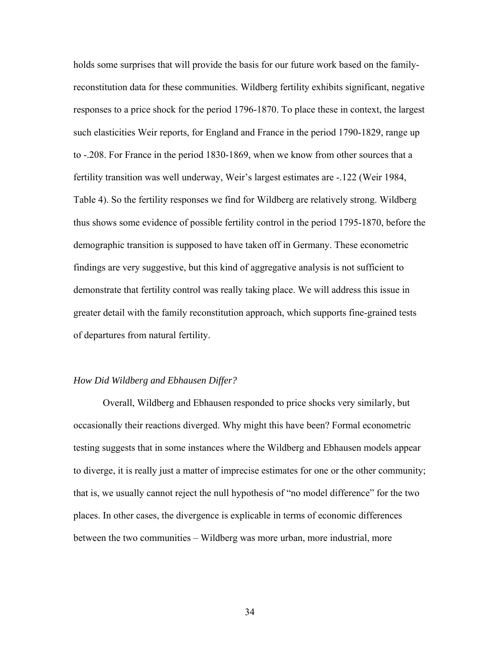holds some surprises that will provide the basis for our future work based on the familyreconstitution data for these communities. Wildberg fertility exhibits significant, negative responses to a price shock for the period 1796-1870. To place these in context, the largest such elasticities Weir reports, for England and France in the period 1790-1829, range up to -.208. For France in the period 1830-1869, when we know from other sources that a fertility transition was well underway, Weir's largest estimates are -.122 (Weir 1984, Table 4). So the fertility responses we find for Wildberg are relatively strong. Wildberg thus shows some evidence of possible fertility control in the period 1795-1870, before the demographic transition is supposed to have taken off in Germany. These econometric findings are very suggestive, but this kind of aggregative analysis is not sufficient to demonstrate that fertility control was really taking place. We will address this issue in greater detail with the family reconstitution approach, which supports fine-grained tests of departures from natural fertility.

#### *How Did Wildberg and Ebhausen Differ?*

Overall, Wildberg and Ebhausen responded to price shocks very similarly, but occasionally their reactions diverged. Why might this have been? Formal econometric testing suggests that in some instances where the Wildberg and Ebhausen models appear to diverge, it is really just a matter of imprecise estimates for one or the other community; that is, we usually cannot reject the null hypothesis of "no model difference" for the two places. In other cases, the divergence is explicable in terms of economic differences between the two communities – Wildberg was more urban, more industrial, more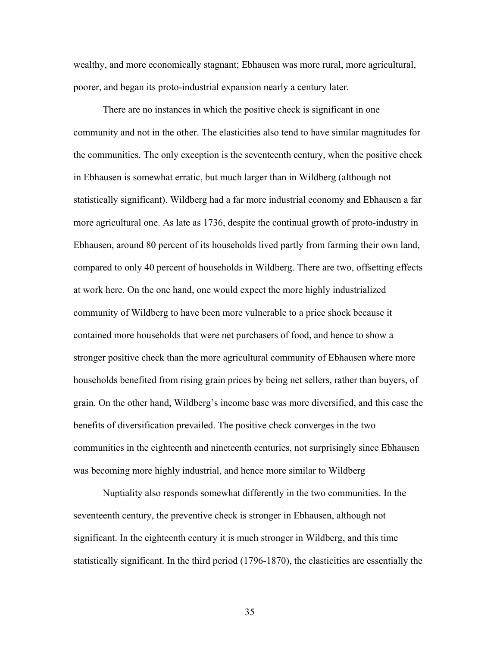wealthy, and more economically stagnant; Ebhausen was more rural, more agricultural, poorer, and began its proto-industrial expansion nearly a century later.

There are no instances in which the positive check is significant in one community and not in the other. The elasticities also tend to have similar magnitudes for the communities. The only exception is the seventeenth century, when the positive check in Ebhausen is somewhat erratic, but much larger than in Wildberg (although not statistically significant). Wildberg had a far more industrial economy and Ebhausen a far more agricultural one. As late as 1736, despite the continual growth of proto-industry in Ebhausen, around 80 percent of its households lived partly from farming their own land, compared to only 40 percent of households in Wildberg. There are two, offsetting effects at work here. On the one hand, one would expect the more highly industrialized community of Wildberg to have been more vulnerable to a price shock because it contained more households that were net purchasers of food, and hence to show a stronger positive check than the more agricultural community of Ebhausen where more households benefited from rising grain prices by being net sellers, rather than buyers, of grain. On the other hand, Wildberg's income base was more diversified, and this case the benefits of diversification prevailed. The positive check converges in the two communities in the eighteenth and nineteenth centuries, not surprisingly since Ebhausen was becoming more highly industrial, and hence more similar to Wildberg

Nuptiality also responds somewhat differently in the two communities. In the seventeenth century, the preventive check is stronger in Ebhausen, although not significant. In the eighteenth century it is much stronger in Wildberg, and this time statistically significant. In the third period (1796-1870), the elasticities are essentially the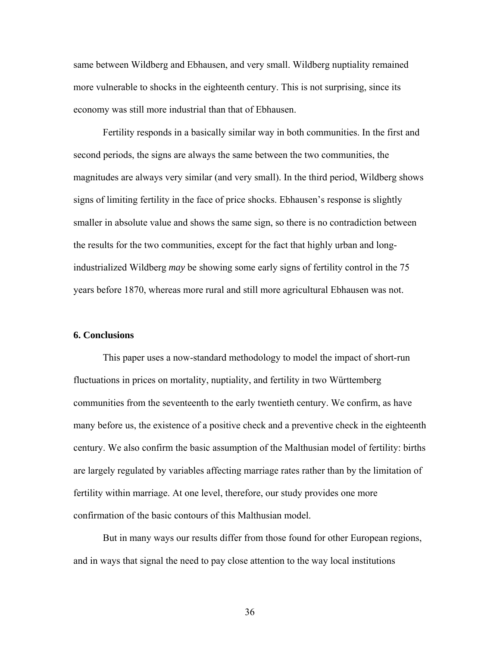same between Wildberg and Ebhausen, and very small. Wildberg nuptiality remained more vulnerable to shocks in the eighteenth century. This is not surprising, since its economy was still more industrial than that of Ebhausen.

Fertility responds in a basically similar way in both communities. In the first and second periods, the signs are always the same between the two communities, the magnitudes are always very similar (and very small). In the third period, Wildberg shows signs of limiting fertility in the face of price shocks. Ebhausen's response is slightly smaller in absolute value and shows the same sign, so there is no contradiction between the results for the two communities, except for the fact that highly urban and longindustrialized Wildberg *may* be showing some early signs of fertility control in the 75 years before 1870, whereas more rural and still more agricultural Ebhausen was not.

#### **6. Conclusions**

This paper uses a now-standard methodology to model the impact of short-run fluctuations in prices on mortality, nuptiality, and fertility in two Württemberg communities from the seventeenth to the early twentieth century. We confirm, as have many before us, the existence of a positive check and a preventive check in the eighteenth century. We also confirm the basic assumption of the Malthusian model of fertility: births are largely regulated by variables affecting marriage rates rather than by the limitation of fertility within marriage. At one level, therefore, our study provides one more confirmation of the basic contours of this Malthusian model.

But in many ways our results differ from those found for other European regions, and in ways that signal the need to pay close attention to the way local institutions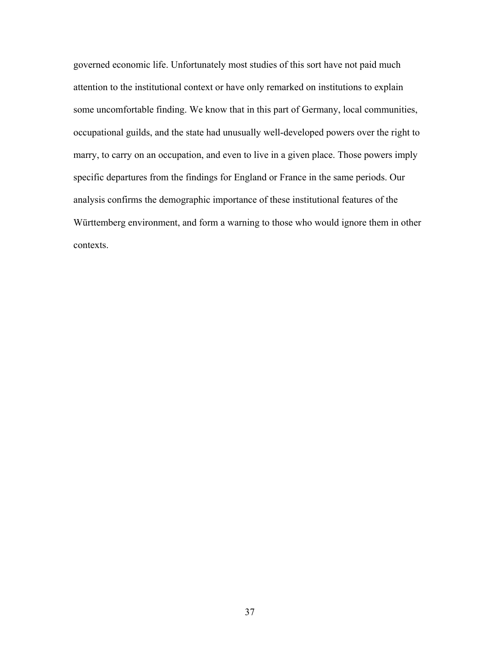governed economic life. Unfortunately most studies of this sort have not paid much attention to the institutional context or have only remarked on institutions to explain some uncomfortable finding. We know that in this part of Germany, local communities, occupational guilds, and the state had unusually well-developed powers over the right to marry, to carry on an occupation, and even to live in a given place. Those powers imply specific departures from the findings for England or France in the same periods. Our analysis confirms the demographic importance of these institutional features of the Württemberg environment, and form a warning to those who would ignore them in other contexts.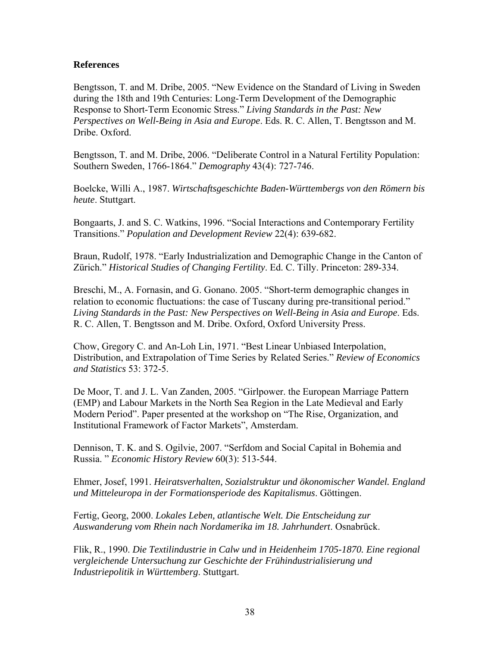## **References**

Bengtsson, T. and M. Dribe, 2005. "New Evidence on the Standard of Living in Sweden during the 18th and 19th Centuries: Long-Term Development of the Demographic Response to Short-Term Economic Stress." *Living Standards in the Past: New Perspectives on Well-Being in Asia and Europe*. Eds. R. C. Allen, T. Bengtsson and M. Dribe. Oxford.

Bengtsson, T. and M. Dribe, 2006. "Deliberate Control in a Natural Fertility Population: Southern Sweden, 1766-1864." *Demography* 43(4): 727-746.

Boelcke, Willi A., 1987. *Wirtschaftsgeschichte Baden-Württembergs von den Römern bis heute*. Stuttgart.

Bongaarts, J. and S. C. Watkins, 1996. "Social Interactions and Contemporary Fertility Transitions." *Population and Development Review* 22(4): 639-682.

Braun, Rudolf, 1978. "Early Industrialization and Demographic Change in the Canton of Zürich." *Historical Studies of Changing Fertility*. Ed. C. Tilly. Princeton: 289-334.

Breschi, M., A. Fornasin, and G. Gonano. 2005. "Short-term demographic changes in relation to economic fluctuations: the case of Tuscany during pre-transitional period." *Living Standards in the Past: New Perspectives on Well-Being in Asia and Europe*. Eds. R. C. Allen, T. Bengtsson and M. Dribe. Oxford, Oxford University Press.

Chow, Gregory C. and An-Loh Lin, 1971. "Best Linear Unbiased Interpolation, Distribution, and Extrapolation of Time Series by Related Series." *Review of Economics and Statistics* 53: 372-5.

De Moor, T. and J. L. Van Zanden, 2005. "Girlpower. the European Marriage Pattern (EMP) and Labour Markets in the North Sea Region in the Late Medieval and Early Modern Period". Paper presented at the workshop on "The Rise, Organization, and Institutional Framework of Factor Markets", Amsterdam.

Dennison, T. K. and S. Ogilvie, 2007. "Serfdom and Social Capital in Bohemia and Russia. " *Economic History Review* 60(3): 513-544.

Ehmer, Josef, 1991. *Heiratsverhalten, Sozialstruktur und ökonomischer Wandel. England und Mitteleuropa in der Formationsperiode des Kapitalismus*. Göttingen.

Fertig, Georg, 2000. *Lokales Leben, atlantische Welt. Die Entscheidung zur Auswanderung vom Rhein nach Nordamerika im 18. Jahrhundert*. Osnabrück.

Flik, R., 1990. *Die Textilindustrie in Calw und in Heidenheim 1705-1870. Eine regional vergleichende Untersuchung zur Geschichte der Frühindustrialisierung und Industriepolitik in Württemberg*. Stuttgart.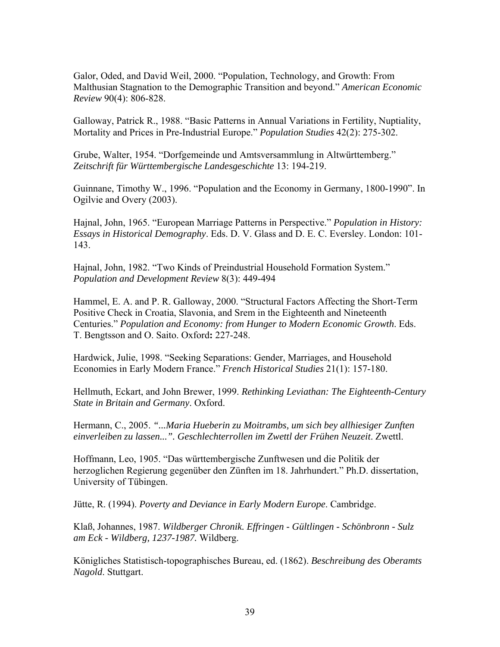Galor, Oded, and David Weil, 2000. "Population, Technology, and Growth: From Malthusian Stagnation to the Demographic Transition and beyond." *American Economic Review* 90(4): 806-828.

Galloway, Patrick R., 1988. "Basic Patterns in Annual Variations in Fertility, Nuptiality, Mortality and Prices in Pre-Industrial Europe." *Population Studies* 42(2): 275-302.

Grube, Walter, 1954. "Dorfgemeinde und Amtsversammlung in Altwürttemberg." *Zeitschrift für Württembergische Landesgeschichte* 13: 194-219.

Guinnane, Timothy W., 1996. "Population and the Economy in Germany, 1800-1990". In Ogilvie and Overy (2003).

Hajnal, John, 1965. "European Marriage Patterns in Perspective." *Population in History: Essays in Historical Demography*. Eds. D. V. Glass and D. E. C. Eversley. London: 101- 143.

Hajnal, John, 1982. "Two Kinds of Preindustrial Household Formation System." *Population and Development Review* 8(3): 449-494

Hammel, E. A. and P. R. Galloway, 2000. "Structural Factors Affecting the Short-Term Positive Check in Croatia, Slavonia, and Srem in the Eighteenth and Nineteenth Centuries." *Population and Economy: from Hunger to Modern Economic Growth*. Eds. T. Bengtsson and O. Saito. Oxford**:** 227-248.

Hardwick, Julie, 1998. "Seeking Separations: Gender, Marriages, and Household Economies in Early Modern France." *French Historical Studies* 21(1): 157-180.

Hellmuth, Eckart, and John Brewer, 1999. *Rethinking Leviathan: The Eighteenth-Century State in Britain and Germany*. Oxford.

Hermann, C., 2005. *"...Maria Hueberin zu Moitrambs, um sich bey allhiesiger Zunften*  einverleiben zu lassen...". Geschlechterrollen im Zwettl der Frühen Neuzeit. Zwettl.

Hoffmann, Leo, 1905. "Das württembergische Zunftwesen und die Politik der herzoglichen Regierung gegenüber den Zünften im 18. Jahrhundert." Ph.D. dissertation, University of Tübingen.

Jütte, R. (1994). *Poverty and Deviance in Early Modern Europe*. Cambridge.

Klaß, Johannes, 1987. *Wildberger Chronik. Effringen - Gültlingen - Schönbronn - Sulz am Eck - Wildberg, 1237-1987.* Wildberg.

Königliches Statistisch-topographisches Bureau, ed. (1862). *Beschreibung des Oberamts Nagold*. Stuttgart.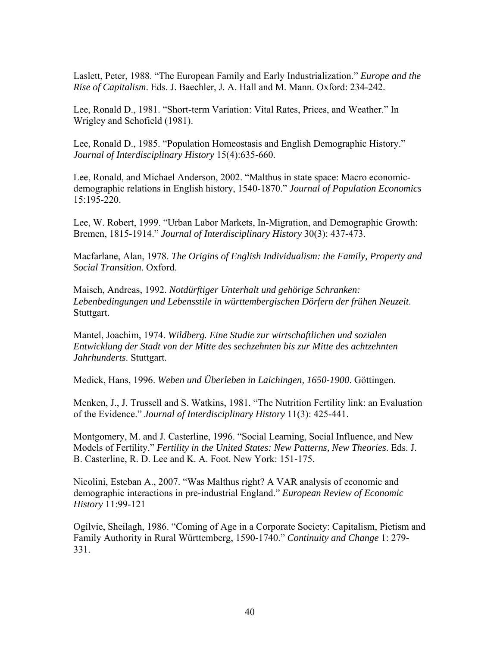Laslett, Peter, 1988. "The European Family and Early Industrialization." *Europe and the Rise of Capitalism*. Eds. J. Baechler, J. A. Hall and M. Mann. Oxford: 234-242.

Lee, Ronald D., 1981. "Short-term Variation: Vital Rates, Prices, and Weather." In Wrigley and Schofield (1981).

Lee, Ronald D., 1985. "Population Homeostasis and English Demographic History." *Journal of Interdisciplinary History* 15(4):635-660.

Lee, Ronald, and Michael Anderson, 2002. "Malthus in state space: Macro economicdemographic relations in English history, 1540-1870." *Journal of Population Economics* 15:195-220.

Lee, W. Robert, 1999. "Urban Labor Markets, In-Migration, and Demographic Growth: Bremen, 1815-1914." *Journal of Interdisciplinary History* 30(3): 437-473.

Macfarlane, Alan, 1978. *The Origins of English Individualism: the Family, Property and Social Transition*. Oxford.

Maisch, Andreas, 1992. *Notdürftiger Unterhalt und gehörige Schranken: Lebenbedingungen und Lebensstile in württembergischen Dörfern der frühen Neuzeit*. Stuttgart.

Mantel, Joachim, 1974. *Wildberg. Eine Studie zur wirtschaftlichen und sozialen Entwicklung der Stadt von der Mitte des sechzehnten bis zur Mitte des achtzehnten Jahrhunderts*. Stuttgart.

Medick, Hans, 1996. *Weben und Überleben in Laichingen, 1650-1900*. Göttingen.

Menken, J., J. Trussell and S. Watkins, 1981. "The Nutrition Fertility link: an Evaluation of the Evidence." *Journal of Interdisciplinary History* 11(3): 425-441.

Montgomery, M. and J. Casterline, 1996. "Social Learning, Social Influence, and New Models of Fertility." *Fertility in the United States: New Patterns, New Theories*. Eds. J. B. Casterline, R. D. Lee and K. A. Foot. New York: 151-175.

Nicolini, Esteban A., 2007. "Was Malthus right? A VAR analysis of economic and demographic interactions in pre-industrial England." *European Review of Economic History* 11:99-121

Ogilvie, Sheilagh, 1986. "Coming of Age in a Corporate Society: Capitalism, Pietism and Family Authority in Rural Württemberg, 1590-1740." *Continuity and Change* 1: 279- 331.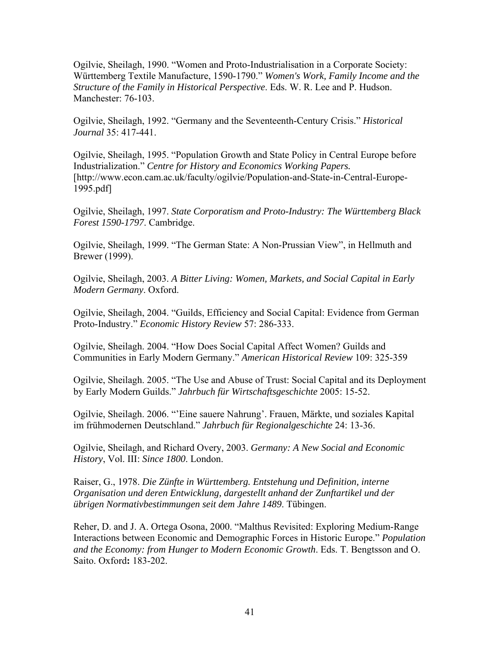Ogilvie, Sheilagh, 1990. "Women and Proto-Industrialisation in a Corporate Society: Württemberg Textile Manufacture, 1590-1790." *Women's Work, Family Income and the Structure of the Family in Historical Perspective*. Eds. W. R. Lee and P. Hudson. Manchester: 76-103.

Ogilvie, Sheilagh, 1992. "Germany and the Seventeenth-Century Crisis." *Historical Journal* 35: 417-441.

Ogilvie, Sheilagh, 1995. "Population Growth and State Policy in Central Europe before Industrialization." *Centre for History and Economics Working Papers.* [http://www.econ.cam.ac.uk/faculty/ogilvie/Population-and-State-in-Central-Europe-1995.pdf]

Ogilvie, Sheilagh, 1997. *State Corporatism and Proto-Industry: The Württemberg Black Forest 1590-1797*. Cambridge.

Ogilvie, Sheilagh, 1999. "The German State: A Non-Prussian View", in Hellmuth and Brewer (1999).

Ogilvie, Sheilagh, 2003. *A Bitter Living: Women, Markets, and Social Capital in Early Modern Germany*. Oxford.

Ogilvie, Sheilagh, 2004. "Guilds, Efficiency and Social Capital: Evidence from German Proto-Industry." *Economic History Review* 57: 286-333.

Ogilvie, Sheilagh. 2004. "How Does Social Capital Affect Women? Guilds and Communities in Early Modern Germany." *American Historical Review* 109: 325-359

Ogilvie, Sheilagh. 2005. "The Use and Abuse of Trust: Social Capital and its Deployment by Early Modern Guilds." *Jahrbuch für Wirtschaftsgeschichte* 2005: 15-52.

Ogilvie, Sheilagh. 2006. "'Eine sauere Nahrung'. Frauen, Märkte, und soziales Kapital im frühmodernen Deutschland." *Jahrbuch für Regionalgeschichte* 24: 13-36.

Ogilvie, Sheilagh, and Richard Overy, 2003. *Germany: A New Social and Economic History*, Vol. III: *Since 1800*. London.

Raiser, G., 1978. *Die Zünfte in Württemberg. Entstehung und Definition, interne Organisation und deren Entwicklung, dargestellt anhand der Zunftartikel und der übrigen Normativbestimmungen seit dem Jahre 1489*. Tübingen.

Reher, D. and J. A. Ortega Osona, 2000. "Malthus Revisited: Exploring Medium-Range Interactions between Economic and Demographic Forces in Historic Europe." *Population and the Economy: from Hunger to Modern Economic Growth*. Eds. T. Bengtsson and O. Saito. Oxford**:** 183-202.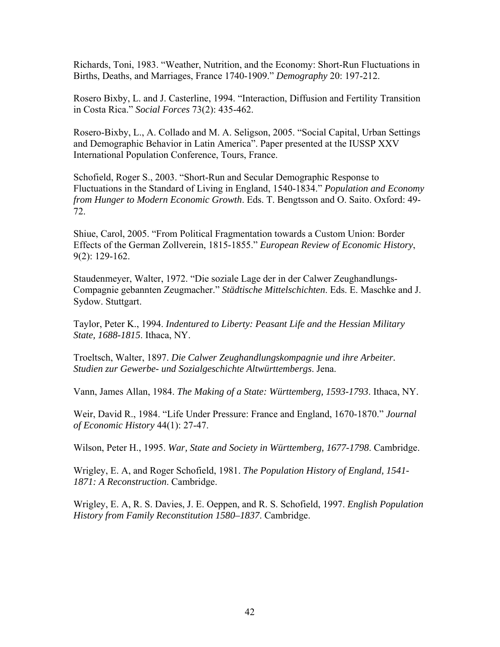Richards, Toni, 1983. "Weather, Nutrition, and the Economy: Short-Run Fluctuations in Births, Deaths, and Marriages, France 1740-1909." *Demography* 20: 197-212.

Rosero Bixby, L. and J. Casterline, 1994. "Interaction, Diffusion and Fertility Transition in Costa Rica." *Social Forces* 73(2): 435-462.

Rosero-Bixby, L., A. Collado and M. A. Seligson, 2005. "Social Capital, Urban Settings and Demographic Behavior in Latin America". Paper presented at the IUSSP XXV International Population Conference, Tours, France.

Schofield, Roger S., 2003. "Short-Run and Secular Demographic Response to Fluctuations in the Standard of Living in England, 1540-1834." *Population and Economy from Hunger to Modern Economic Growth*. Eds. T. Bengtsson and O. Saito. Oxford: 49- 72.

Shiue, Carol, 2005. "From Political Fragmentation towards a Custom Union: Border Effects of the German Zollverein, 1815-1855." *European Review of Economic History*, 9(2): 129-162.

Staudenmeyer, Walter, 1972. "Die soziale Lage der in der Calwer Zeughandlungs-Compagnie gebannten Zeugmacher." *Städtische Mittelschichten*. Eds. E. Maschke and J. Sydow. Stuttgart.

Taylor, Peter K., 1994. *Indentured to Liberty: Peasant Life and the Hessian Military State, 1688-1815*. Ithaca, NY.

Troeltsch, Walter, 1897. *Die Calwer Zeughandlungskompagnie und ihre Arbeiter. Studien zur Gewerbe- und Sozialgeschichte Altwürttembergs*. Jena.

Vann, James Allan, 1984. *The Making of a State: Württemberg, 1593-1793*. Ithaca, NY.

Weir, David R., 1984. "Life Under Pressure: France and England, 1670-1870." *Journal of Economic History* 44(1): 27-47.

Wilson, Peter H., 1995. *War, State and Society in Württemberg, 1677-1798*. Cambridge.

Wrigley, E. A, and Roger Schofield, 1981. *The Population History of England, 1541- 1871: A Reconstruction*. Cambridge.

Wrigley, E. A, R. S. Davies, J. E. Oeppen, and R. S. Schofield, 1997. *English Population History from Family Reconstitution 1580–1837*. Cambridge.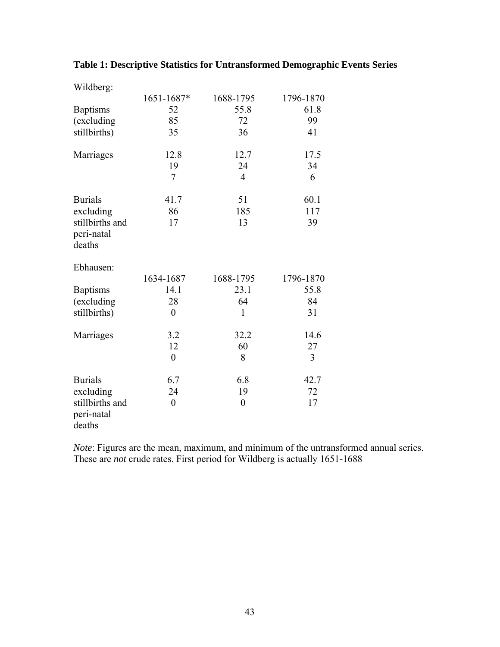| Wildberg:       |                  |                  |           |
|-----------------|------------------|------------------|-----------|
|                 | 1651-1687*       | 1688-1795        | 1796-1870 |
| <b>Baptisms</b> | 52               | 55.8             | 61.8      |
| (excluding      | 85               | 72               | 99        |
| stillbirths)    | 35               | 36               | 41        |
|                 |                  |                  |           |
| Marriages       | 12.8             | 12.7             | 17.5      |
|                 | 19               | 24               | 34        |
|                 | 7                | $\overline{4}$   | 6         |
| <b>Burials</b>  | 41.7             | 51               | 60.1      |
| excluding       | 86               | 185              | 117       |
| stillbirths and | 17               | 13               | 39        |
| peri-natal      |                  |                  |           |
| deaths          |                  |                  |           |
|                 |                  |                  |           |
| Ebhausen:       |                  |                  |           |
|                 | 1634-1687        | 1688-1795        | 1796-1870 |
| <b>Baptisms</b> | 14.1             | 23.1             | 55.8      |
| (excluding      | 28               | 64               | 84        |
| stillbirths)    | $\boldsymbol{0}$ | $\mathbf{1}$     | 31        |
| Marriages       | 3.2              | 32.2             | 14.6      |
|                 | 12               | 60               | 27        |
|                 | $\boldsymbol{0}$ | 8                | 3         |
| <b>Burials</b>  | 6.7              | 6.8              | 42.7      |
| excluding       | 24               | 19               | 72        |
| stillbirths and | $\boldsymbol{0}$ | $\boldsymbol{0}$ | 17        |
| peri-natal      |                  |                  |           |
| deaths          |                  |                  |           |
|                 |                  |                  |           |

## **Table 1: Descriptive Statistics for Untransformed Demographic Events Series**

*Note*: Figures are the mean, maximum, and minimum of the untransformed annual series. These are *not* crude rates. First period for Wildberg is actually 1651-1688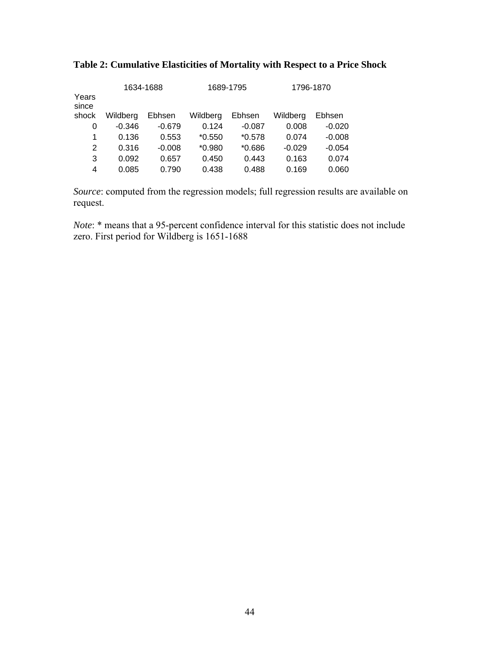| Years<br>since | 1634-1688 |          |          | 1689-1795 | 1796-1870 |          |  |
|----------------|-----------|----------|----------|-----------|-----------|----------|--|
| shock          | Wildberg  | Ebhsen   | Wildberg | Ebhsen    | Wildberg  | Ebhsen   |  |
| 0              | $-0.346$  | $-0.679$ | 0.124    | $-0.087$  | 0.008     | $-0.020$ |  |
| 1              | 0.136     | 0.553    | $*0.550$ | $*0.578$  | 0.074     | $-0.008$ |  |
| 2              | 0.316     | $-0.008$ | $*0.980$ | $*0.686$  | $-0.029$  | $-0.054$ |  |
| 3              | 0.092     | 0.657    | 0.450    | 0.443     | 0.163     | 0.074    |  |
| 4              | 0.085     | 0.790    | 0.438    | 0.488     | 0.169     | 0.060    |  |
|                |           |          |          |           |           |          |  |

## **Table 2: Cumulative Elasticities of Mortality with Respect to a Price Shock**

*Source*: computed from the regression models; full regression results are available on request.

*Note*: \* means that a 95-percent confidence interval for this statistic does not include zero. First period for Wildberg is 1651-1688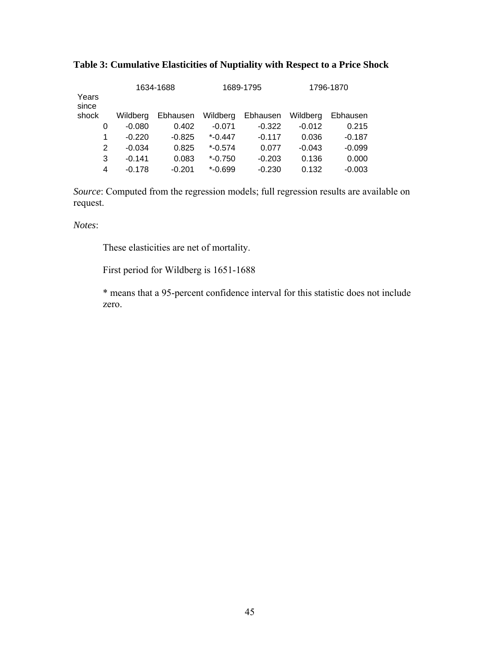| Years<br>since |   | 1634-1688 |          |            | 1689-1795 | 1796-1870 |          |  |
|----------------|---|-----------|----------|------------|-----------|-----------|----------|--|
| shock          |   | Wildberg  | Ebhausen | Wildberg   | Ebhausen  | Wildberg  | Ebhausen |  |
|                | 0 | $-0.080$  | 0.402    | $-0.071$   | $-0.322$  | $-0.012$  | 0.215    |  |
|                | 1 | $-0.220$  | $-0.825$ | $*$ -0.447 | $-0.117$  | 0.036     | $-0.187$ |  |
|                | 2 | $-0.034$  | 0.825    | $*$ -0.574 | 0.077     | $-0.043$  | $-0.099$ |  |
|                | 3 | $-0.141$  | 0.083    | $*$ -0.750 | $-0.203$  | 0.136     | 0.000    |  |
|                | 4 | $-0.178$  | $-0.201$ | $*$ -0.699 | $-0.230$  | 0.132     | $-0.003$ |  |

## **Table 3: Cumulative Elasticities of Nuptiality with Respect to a Price Shock**

*Source*: Computed from the regression models; full regression results are available on request.

*Notes*:

These elasticities are net of mortality.

First period for Wildberg is 1651-1688

\* means that a 95-percent confidence interval for this statistic does not include zero.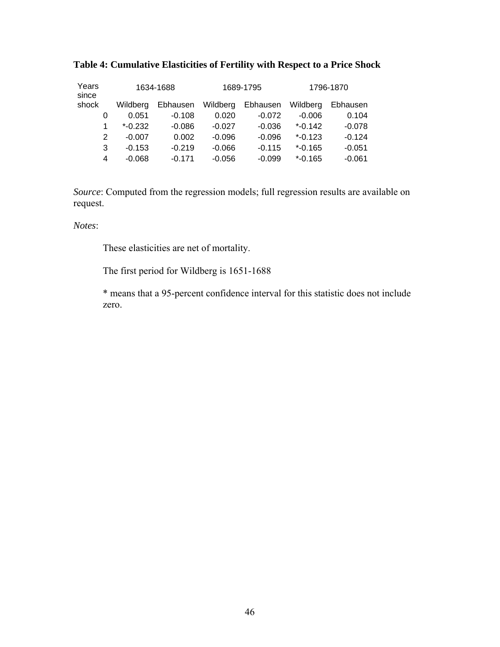| Years<br>since |   | 1634-1688  |          | 1689-1795 |          | 1796-1870  |          |
|----------------|---|------------|----------|-----------|----------|------------|----------|
| shock          |   | Wildberg   | Ebhausen | Wildberg  | Ebhausen | Wildberg   | Ebhausen |
|                | 0 | 0.051      | $-0.108$ | 0.020     | $-0.072$ | $-0.006$   | 0.104    |
|                | 1 | $*$ -0.232 | $-0.086$ | $-0.027$  | $-0.036$ | $*$ -0.142 | $-0.078$ |
|                | 2 | $-0.007$   | 0.002    | $-0.096$  | $-0.096$ | $*$ -0.123 | $-0.124$ |
|                | 3 | $-0.153$   | $-0.219$ | $-0.066$  | $-0.115$ | $*$ -0.165 | $-0.051$ |
|                | 4 | $-0.068$   | $-0.171$ | $-0.056$  | $-0.099$ | $*$ -0.165 | $-0.061$ |

## **Table 4: Cumulative Elasticities of Fertility with Respect to a Price Shock**

*Source*: Computed from the regression models; full regression results are available on request.

*Notes*:

These elasticities are net of mortality.

The first period for Wildberg is 1651-1688

\* means that a 95-percent confidence interval for this statistic does not include zero.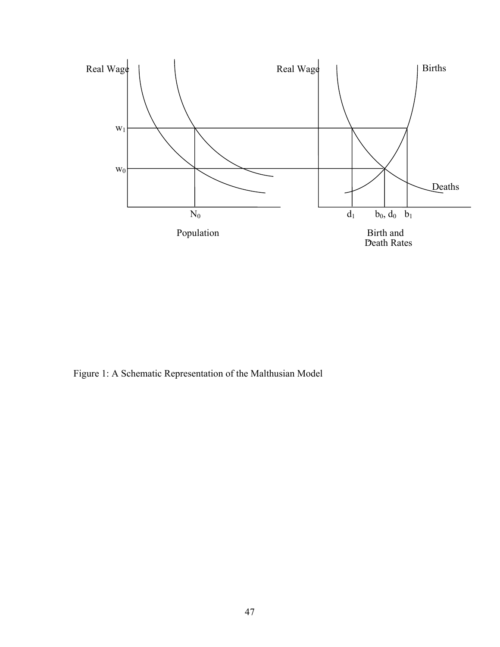

Figure 1: A Schematic Representation of the Malthusian Model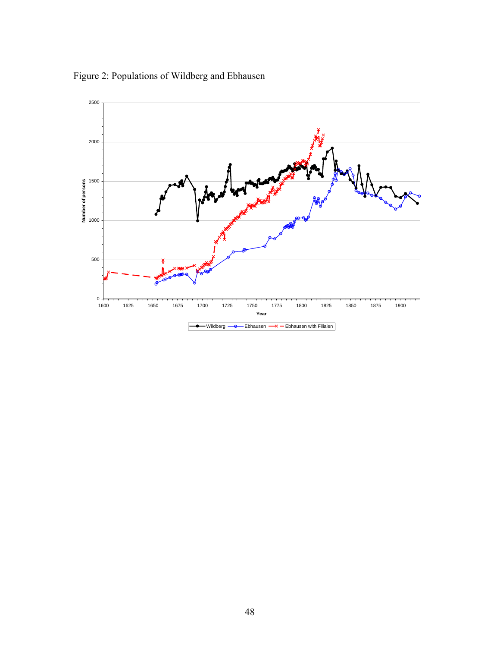Figure 2: Populations of Wildberg and Ebhausen

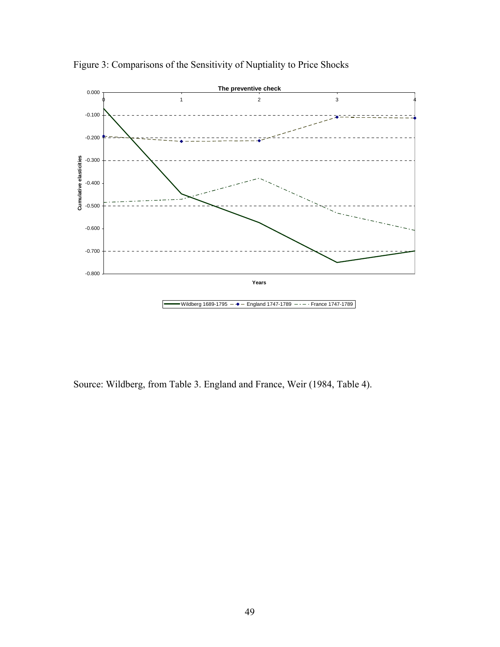

Figure 3: Comparisons of the Sensitivity of Nuptiality to Price Shocks

Source: Wildberg, from Table 3. England and France, Weir (1984, Table 4).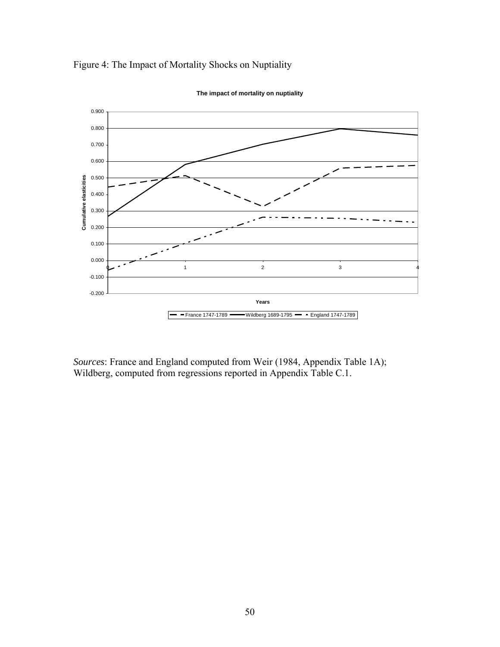



**The impact of mortality on nuptiality**

*Sources*: France and England computed from Weir (1984, Appendix Table 1A); Wildberg, computed from regressions reported in Appendix Table C.1.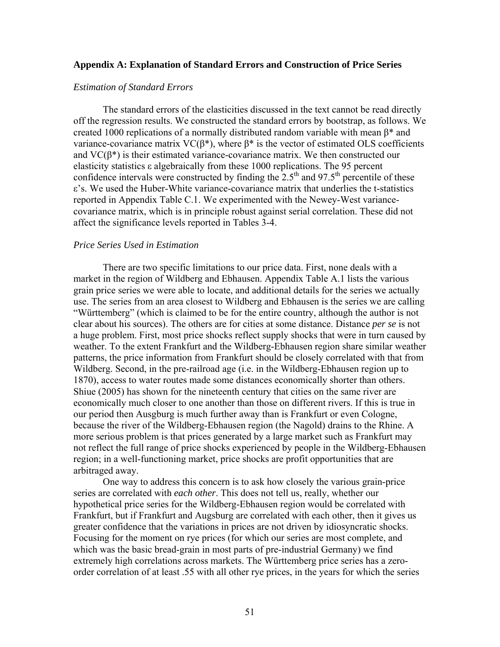#### **Appendix A: Explanation of Standard Errors and Construction of Price Series**

#### *Estimation of Standard Errors*

The standard errors of the elasticities discussed in the text cannot be read directly off the regression results. We constructed the standard errors by bootstrap, as follows. We created 1000 replications of a normally distributed random variable with mean  $β*$  and variance-covariance matrix VC(β<sup>\*</sup>), where  $β$ <sup>\*</sup> is the vector of estimated OLS coefficients and  $VC(\beta^*)$  is their estimated variance-covariance matrix. We then constructed our elasticity statistics ε algebraically from these 1000 replications. The 95 percent confidence intervals were constructed by finding the  $2.5<sup>th</sup>$  and 97.5<sup>th</sup> percentile of these ε's. We used the Huber-White variance-covariance matrix that underlies the t-statistics reported in Appendix Table C.1. We experimented with the Newey-West variancecovariance matrix, which is in principle robust against serial correlation. These did not affect the significance levels reported in Tables 3-4.

#### *Price Series Used in Estimation*

There are two specific limitations to our price data. First, none deals with a market in the region of Wildberg and Ebhausen. Appendix Table A.1 lists the various grain price series we were able to locate, and additional details for the series we actually use. The series from an area closest to Wildberg and Ebhausen is the series we are calling "Württemberg" (which is claimed to be for the entire country, although the author is not clear about his sources). The others are for cities at some distance. Distance *per se* is not a huge problem. First, most price shocks reflect supply shocks that were in turn caused by weather. To the extent Frankfurt and the Wildberg-Ebhausen region share similar weather patterns, the price information from Frankfurt should be closely correlated with that from Wildberg. Second, in the pre-railroad age (i.e. in the Wildberg-Ebhausen region up to 1870), access to water routes made some distances economically shorter than others. Shiue (2005) has shown for the nineteenth century that cities on the same river are economically much closer to one another than those on different rivers. If this is true in our period then Ausgburg is much further away than is Frankfurt or even Cologne, because the river of the Wildberg-Ebhausen region (the Nagold) drains to the Rhine. A more serious problem is that prices generated by a large market such as Frankfurt may not reflect the full range of price shocks experienced by people in the Wildberg-Ebhausen region; in a well-functioning market, price shocks are profit opportunities that are arbitraged away.

One way to address this concern is to ask how closely the various grain-price series are correlated with *each other*. This does not tell us, really, whether our hypothetical price series for the Wildberg-Ebhausen region would be correlated with Frankfurt, but if Frankfurt and Augsburg are correlated with each other, then it gives us greater confidence that the variations in prices are not driven by idiosyncratic shocks. Focusing for the moment on rye prices (for which our series are most complete, and which was the basic bread-grain in most parts of pre-industrial Germany) we find extremely high correlations across markets. The Württemberg price series has a zeroorder correlation of at least .55 with all other rye prices, in the years for which the series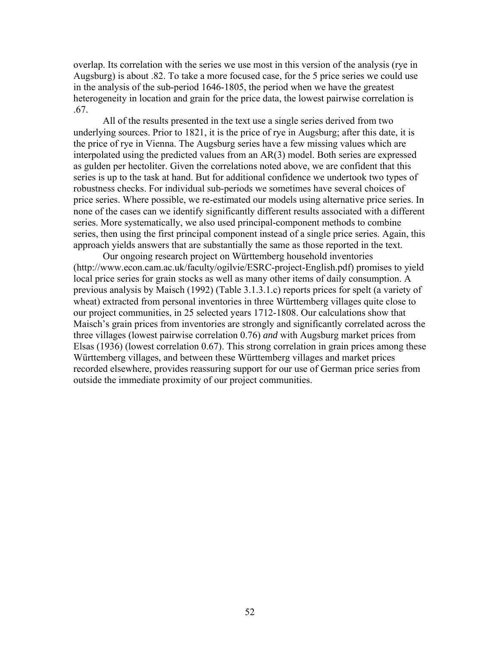overlap. Its correlation with the series we use most in this version of the analysis (rye in Augsburg) is about .82. To take a more focused case, for the 5 price series we could use in the analysis of the sub-period 1646-1805, the period when we have the greatest heterogeneity in location and grain for the price data, the lowest pairwise correlation is .67.

All of the results presented in the text use a single series derived from two underlying sources. Prior to 1821, it is the price of rye in Augsburg; after this date, it is the price of rye in Vienna. The Augsburg series have a few missing values which are interpolated using the predicted values from an AR(3) model. Both series are expressed as gulden per hectoliter. Given the correlations noted above, we are confident that this series is up to the task at hand. But for additional confidence we undertook two types of robustness checks. For individual sub-periods we sometimes have several choices of price series. Where possible, we re-estimated our models using alternative price series. In none of the cases can we identify significantly different results associated with a different series. More systematically, we also used principal-component methods to combine series, then using the first principal component instead of a single price series. Again, this approach yields answers that are substantially the same as those reported in the text.

Our ongoing research project on Württemberg household inventories (http://www.econ.cam.ac.uk/faculty/ogilvie/ESRC-project-English.pdf) promises to yield local price series for grain stocks as well as many other items of daily consumption. A previous analysis by Maisch (1992) (Table 3.1.3.1.c) reports prices for spelt (a variety of wheat) extracted from personal inventories in three Württemberg villages quite close to our project communities, in 25 selected years 1712-1808. Our calculations show that Maisch's grain prices from inventories are strongly and significantly correlated across the three villages (lowest pairwise correlation 0.76) *and* with Augsburg market prices from Elsas (1936) (lowest correlation 0.67). This strong correlation in grain prices among these Württemberg villages, and between these Württemberg villages and market prices recorded elsewhere, provides reassuring support for our use of German price series from outside the immediate proximity of our project communities.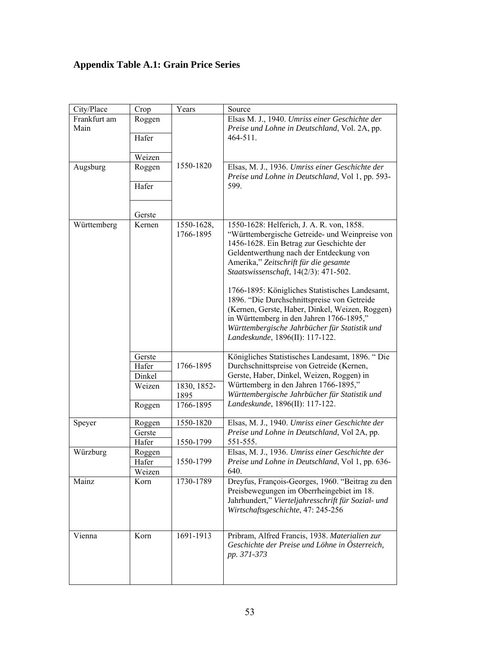## **Appendix Table A.1: Grain Price Series**

| City/Place   | Crop   | Years       | Source                                                                                                                                                                                                                                                                            |  |  |  |
|--------------|--------|-------------|-----------------------------------------------------------------------------------------------------------------------------------------------------------------------------------------------------------------------------------------------------------------------------------|--|--|--|
| Frankfurt am | Roggen |             | Elsas M. J., 1940. Umriss einer Geschichte der                                                                                                                                                                                                                                    |  |  |  |
| Main         |        |             | Preise und Lohne in Deutschland, Vol. 2A, pp.                                                                                                                                                                                                                                     |  |  |  |
|              | Hafer  |             | 464-511.                                                                                                                                                                                                                                                                          |  |  |  |
|              |        |             |                                                                                                                                                                                                                                                                                   |  |  |  |
|              | Weizen |             |                                                                                                                                                                                                                                                                                   |  |  |  |
| Augsburg     | Roggen | 1550-1820   | Elsas, M. J., 1936. Umriss einer Geschichte der<br>Preise und Lohne in Deutschland, Vol 1, pp. 593-                                                                                                                                                                               |  |  |  |
|              | Hafer  |             | 599.                                                                                                                                                                                                                                                                              |  |  |  |
|              | Gerste |             |                                                                                                                                                                                                                                                                                   |  |  |  |
| Württemberg  | Kernen | 1550-1628,  | 1550-1628: Helferich, J. A. R. von, 1858.                                                                                                                                                                                                                                         |  |  |  |
|              |        | 1766-1895   | "Württembergische Getreide- und Weinpreise von<br>1456-1628. Ein Betrag zur Geschichte der<br>Geldentwerthung nach der Entdeckung von<br>Amerika," Zeitschrift für die gesamte<br>Staatswissenschaft, 14(2/3): 471-502.                                                           |  |  |  |
|              |        |             | 1766-1895: Königliches Statistisches Landesamt,<br>1896. "Die Durchschnittspreise von Getreide<br>(Kernen, Gerste, Haber, Dinkel, Weizen, Roggen)<br>in Württemberg in den Jahren 1766-1895,"<br>Württembergische Jahrbücher für Statistik und<br>Landeskunde, 1896(II): 117-122. |  |  |  |
|              | Gerste |             | Königliches Statistisches Landesamt, 1896. "Die                                                                                                                                                                                                                                   |  |  |  |
|              | Hafer  | 1766-1895   | Durchschnittspreise von Getreide (Kernen,                                                                                                                                                                                                                                         |  |  |  |
|              | Dinkel |             | Gerste, Haber, Dinkel, Weizen, Roggen) in                                                                                                                                                                                                                                         |  |  |  |
|              | Weizen | 1830, 1852- | Württemberg in den Jahren 1766-1895,"                                                                                                                                                                                                                                             |  |  |  |
|              |        | 1895        | Württembergische Jahrbücher für Statistik und                                                                                                                                                                                                                                     |  |  |  |
|              | Roggen | 1766-1895   | Landeskunde, 1896(II): 117-122.                                                                                                                                                                                                                                                   |  |  |  |
| Speyer       | Roggen | 1550-1820   | Elsas, M. J., 1940. Umriss einer Geschichte der                                                                                                                                                                                                                                   |  |  |  |
|              | Gerste |             | Preise und Lohne in Deutschland, Vol 2A, pp.                                                                                                                                                                                                                                      |  |  |  |
|              | Hafer  | 1550-1799   | 551-555.                                                                                                                                                                                                                                                                          |  |  |  |
| Würzburg     | Roggen |             | Elsas, M. J., 1936. Umriss einer Geschichte der                                                                                                                                                                                                                                   |  |  |  |
|              | Hafer  | 1550-1799   | Preise und Lohne in Deutschland, Vol 1, pp. 636-                                                                                                                                                                                                                                  |  |  |  |
|              | Weizen |             | 640.                                                                                                                                                                                                                                                                              |  |  |  |
| Mainz        | Korn   | 1730-1789   | Dreyfus, François-Georges, 1960. "Beitrag zu den<br>Preisbewegungen im Oberrheingebiet im 18.<br>Jahrhundert," Vierteljahresschrift für Sozial- und<br>Wirtschaftsgeschichte, 47: 245-256                                                                                         |  |  |  |
| Vienna       | Korn   | 1691-1913   | Pribram, Alfred Francis, 1938. Materialien zur<br>Geschichte der Preise und Löhne in Österreich,<br>pp. 371-373                                                                                                                                                                   |  |  |  |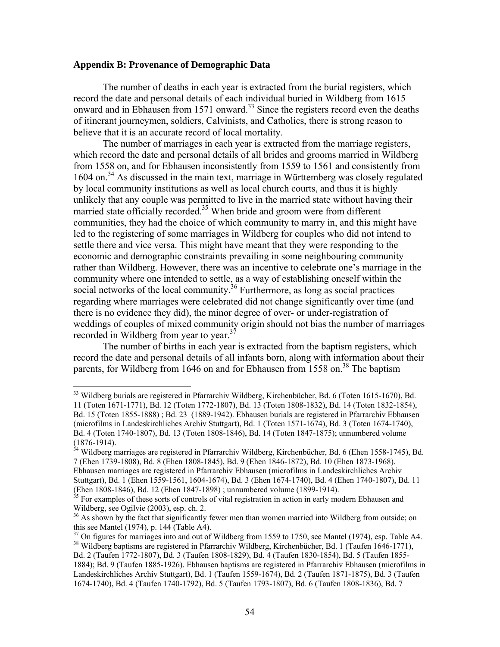#### **Appendix B: Provenance of Demographic Data**

 $\overline{a}$ 

The number of deaths in each year is extracted from the burial registers, which record the date and personal details of each individual buried in Wildberg from 1615 onward and in Ebhausen from 1571 onward.<sup>33</sup> Since the registers record even the deaths of itinerant journeymen, soldiers, Calvinists, and Catholics, there is strong reason to believe that it is an accurate record of local mortality.

 The number of marriages in each year is extracted from the marriage registers, which record the date and personal details of all brides and grooms married in Wildberg from 1558 on, and for Ebhausen inconsistently from 1559 to 1561 and consistently from 1604 on.<sup>34</sup> As discussed in the main text, marriage in Württemberg was closely regulated by local community institutions as well as local church courts, and thus it is highly unlikely that any couple was permitted to live in the married state without having their married state officially recorded.<sup>35</sup> When bride and groom were from different communities, they had the choice of which community to marry in, and this might have led to the registering of some marriages in Wildberg for couples who did not intend to settle there and vice versa. This might have meant that they were responding to the economic and demographic constraints prevailing in some neighbouring community rather than Wildberg. However, there was an incentive to celebrate one's marriage in the community where one intended to settle, as a way of establishing oneself within the social networks of the local community.<sup>36</sup> Furthermore, as long as social practices regarding where marriages were celebrated did not change significantly over time (and there is no evidence they did), the minor degree of over- or under-registration of weddings of couples of mixed community origin should not bias the number of marriages recorded in Wildberg from year to year.<sup>37</sup>

 The number of births in each year is extracted from the baptism registers, which record the date and personal details of all infants born, along with information about their parents, for Wildberg from 1646 on and for Ebhausen from 1558 on.<sup>38</sup> The baptism

 $34$  Wildberg marriages are registered in Pfarrarchiv Wildberg, Kirchenbücher, Bd. 6 (Ehen 1558-1745), Bd. 7 (Ehen 1739-1808), Bd. 8 (Ehen 1808-1845), Bd. 9 (Ehen 1846-1872), Bd. 10 (Ehen 1873-1968). Ebhausen marriages are registered in Pfarrarchiv Ebhausen (microfilms in Landeskirchliches Archiv Stuttgart), Bd. 1 (Ehen 1559-1561, 1604-1674), Bd. 3 (Ehen 1674-1740), Bd. 4 (Ehen 1740-1807), Bd. 11 (Ehen 1808-1846), Bd. 12 (Ehen 1847-1898) ; unnumbered volume (1899-1914).

<sup>&</sup>lt;sup>33</sup> Wildberg burials are registered in Pfarrarchiv Wildberg, Kirchenbücher, Bd. 6 (Toten 1615-1670), Bd. 11 (Toten 1671-1771), Bd. 12 (Toten 1772-1807), Bd. 13 (Toten 1808-1832), Bd. 14 (Toten 1832-1854), Bd. 15 (Toten 1855-1888) ; Bd. 23 (1889-1942). Ebhausen burials are registered in Pfarrarchiv Ebhausen (microfilms in Landeskirchliches Archiv Stuttgart), Bd. 1 (Toten 1571-1674), Bd. 3 (Toten 1674-1740), Bd. 4 (Toten 1740-1807), Bd. 13 (Toten 1808-1846), Bd. 14 (Toten 1847-1875); unnumbered volume (1876-1914).

 $35$  For examples of these sorts of controls of vital registration in action in early modern Ebhausen and Wildberg, see Ogilvie (2003), esp. ch. 2.

 $36$  As shown by the fact that significantly fewer men than women married into Wildberg from outside; on this see Mantel (1974), p. 144 (Table A4).

 $37$  On figures for marriages into and out of Wildberg from 1559 to 1750, see Mantel (1974), esp. Table A4. 38 Wildberg baptisms are registered in Pfarrarchiv Wildberg, Kirchenbücher, Bd. 1 (Taufen 1646-1771), Bd. 2 (Taufen 1772-1807), Bd. 3 (Taufen 1808-1829), Bd. 4 (Taufen 1830-1854), Bd. 5 (Taufen 1855- 1884); Bd. 9 (Taufen 1885-1926). Ebhausen baptisms are registered in Pfarrarchiv Ebhausen (microfilms in Landeskirchliches Archiv Stuttgart), Bd. 1 (Taufen 1559-1674), Bd. 2 (Taufen 1871-1875), Bd. 3 (Taufen 1674-1740), Bd. 4 (Taufen 1740-1792), Bd. 5 (Taufen 1793-1807), Bd. 6 (Taufen 1808-1836), Bd. 7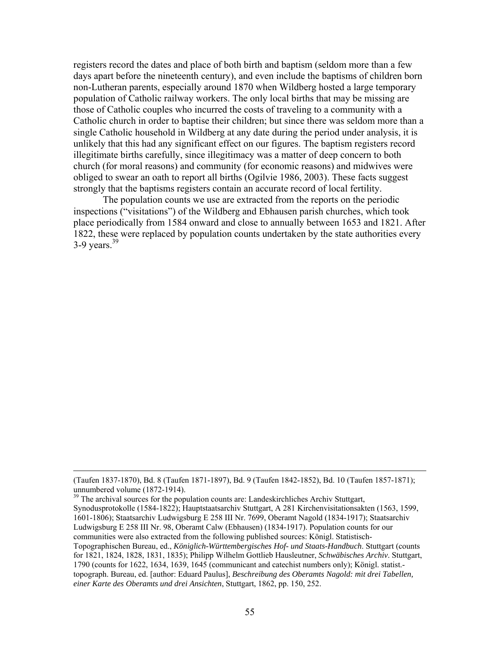registers record the dates and place of both birth and baptism (seldom more than a few days apart before the nineteenth century), and even include the baptisms of children born non-Lutheran parents, especially around 1870 when Wildberg hosted a large temporary population of Catholic railway workers. The only local births that may be missing are those of Catholic couples who incurred the costs of traveling to a community with a Catholic church in order to baptise their children; but since there was seldom more than a single Catholic household in Wildberg at any date during the period under analysis, it is unlikely that this had any significant effect on our figures. The baptism registers record illegitimate births carefully, since illegitimacy was a matter of deep concern to both church (for moral reasons) and community (for economic reasons) and midwives were obliged to swear an oath to report all births (Ogilvie 1986, 2003). These facts suggest strongly that the baptisms registers contain an accurate record of local fertility.

The population counts we use are extracted from the reports on the periodic inspections ("visitations") of the Wildberg and Ebhausen parish churches, which took place periodically from 1584 onward and close to annually between 1653 and 1821. After 1822, these were replaced by population counts undertaken by the state authorities every  $3-9$  years.<sup>39</sup>

 $39$  The archival sources for the population counts are: Landeskirchliches Archiv Stuttgart,

 <sup>(</sup>Taufen 1837-1870), Bd. 8 (Taufen 1871-1897), Bd. 9 (Taufen 1842-1852), Bd. 10 (Taufen 1857-1871); unnumbered volume (1872-1914).

Synodusprotokolle (1584-1822); Hauptstaatsarchiv Stuttgart, A 281 Kirchenvisitationsakten (1563, 1599, 1601-1806); Staatsarchiv Ludwigsburg E 258 III Nr. 7699, Oberamt Nagold (1834-1917); Staatsarchiv Ludwigsburg E 258 III Nr. 98, Oberamt Calw (Ebhausen) (1834-1917). Population counts for our communities were also extracted from the following published sources: Königl. Statistisch-Topographischen Bureau, ed., *Königlich-Württembergisches Hof- und Staats-Handbuch*. Stuttgart (counts for 1821, 1824, 1828, 1831, 1835); Philipp Wilhelm Gottlieb Hausleutner, *Schwäbisches Archiv*. Stuttgart, 1790 (counts for 1622, 1634, 1639, 1645 (communicant and catechist numbers only); Königl. statist. topograph. Bureau, ed. [author: Eduard Paulus], *Beschreibung des Oberamts Nagold: mit drei Tabellen, einer Karte des Oberamts und drei Ansichten*, Stuttgart, 1862, pp. 150, 252.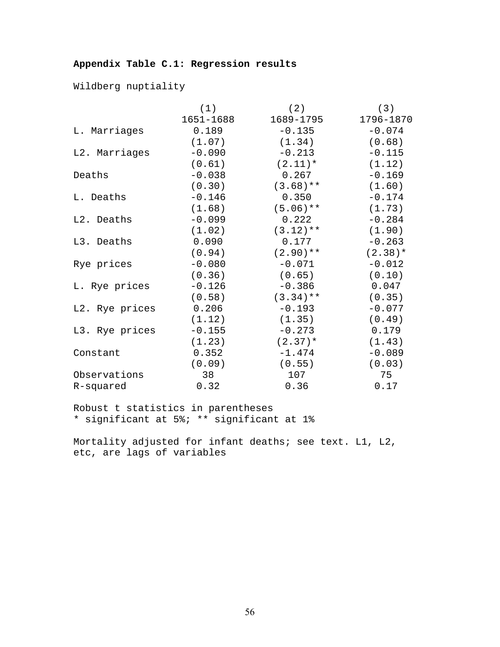## **Appendix Table C.1: Regression results**

Wildberg nuptiality

|                | (1)       | (2)         | (3)       |
|----------------|-----------|-------------|-----------|
|                | 1651-1688 | 1689-1795   | 1796-1870 |
| L. Marriages   | 0.189     | $-0.135$    | $-0.074$  |
|                | (1.07)    | (1.34)      | (0.68)    |
| L2. Marriages  | $-0.090$  | $-0.213$    | $-0.115$  |
|                | (0.61)    | $(2.11)*$   | (1.12)    |
| Deaths         | $-0.038$  | 0.267       | $-0.169$  |
|                | (0.30)    | $(3.68)$ ** | (1.60)    |
| L. Deaths      | $-0.146$  | 0.350       | $-0.174$  |
|                | (1.68)    | $(5.06)$ ** | (1.73)    |
| L2. Deaths     | $-0.099$  | 0.222       | $-0.284$  |
|                | (1.02)    | $(3.12)$ ** | (1.90)    |
| L3. Deaths     | 0.090     | 0.177       | $-0.263$  |
|                | (0.94)    | $(2.90)**$  | $(2.38)*$ |
| Rye prices     | $-0.080$  | $-0.071$    | $-0.012$  |
|                | (0.36)    | (0.65)      | (0.10)    |
| L. Rye prices  | $-0.126$  | $-0.386$    | 0.047     |
|                | (0.58)    | $(3.34)$ ** | (0.35)    |
| L2. Rye prices | 0.206     | $-0.193$    | $-0.077$  |
|                | (1.12)    | (1.35)      | (0.49)    |
| L3. Rye prices | $-0.155$  | $-0.273$    | 0.179     |
|                | (1.23)    | $(2.37)$ *  | (1.43)    |
| Constant       | 0.352     | $-1.474$    | $-0.089$  |
|                | (0.09)    | (0.55)      | (0.03)    |
| Observations   | 38        | 107         | 75        |
| R-squared      | 0.32      | 0.36        | 0.17      |

Robust t statistics in parentheses \* significant at 5%; \*\* significant at 1%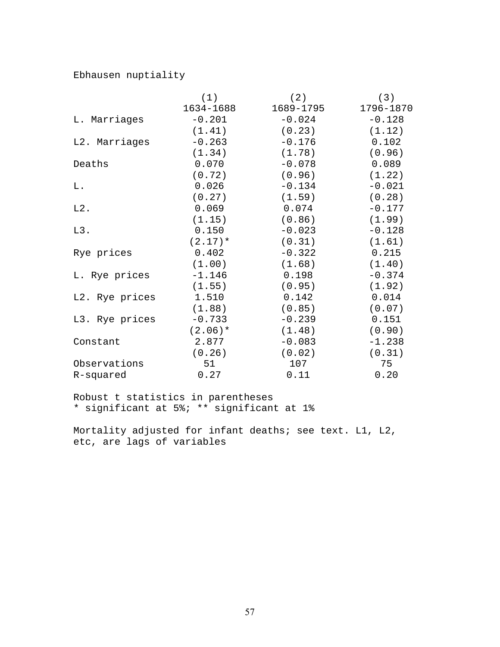## Ebhausen nuptiality

|                | (1)       | (2)       | (3)       |
|----------------|-----------|-----------|-----------|
|                | 1634-1688 | 1689-1795 | 1796-1870 |
| L. Marriages   | $-0.201$  | $-0.024$  | $-0.128$  |
|                | (1.41)    | (0.23)    | (1.12)    |
| L2. Marriages  | $-0.263$  | $-0.176$  | 0.102     |
|                | (1.34)    | (1.78)    | (0.96)    |
| Deaths         | 0.070     | $-0.078$  | 0.089     |
|                | (0.72)    | (0.96)    | (1.22)    |
| L.             | 0.026     | $-0.134$  | $-0.021$  |
|                | (0.27)    | (1.59)    | (0.28)    |
| $L2$ .         | 0.069     | 0.074     | $-0.177$  |
|                | (1.15)    | (0.86)    | (1.99)    |
| $L3$ .         | 0.150     | $-0.023$  | $-0.128$  |
|                | $(2.17)*$ | (0.31)    | (1.61)    |
| Rye prices     | 0.402     | $-0.322$  | 0.215     |
|                | (1.00)    | (1.68)    | (1.40)    |
| L. Rye prices  | $-1.146$  | 0.198     | $-0.374$  |
|                | (1.55)    | (0.95)    | (1.92)    |
| L2. Rye prices | 1.510     | 0.142     | 0.014     |
|                | (1.88)    | (0.85)    | (0.07)    |
| L3. Rye prices | $-0.733$  | $-0.239$  | 0.151     |
|                | $(2.06)*$ | (1.48)    | (0.90)    |
| Constant       | 2.877     | $-0.083$  | $-1.238$  |
|                | (0.26)    | (0.02)    | (0.31)    |
| Observations   | 51        | 107       | 75        |
| R-squared      | 0.27      | 0.11      | 0.20      |

Robust t statistics in parentheses \* significant at 5%; \*\* significant at 1%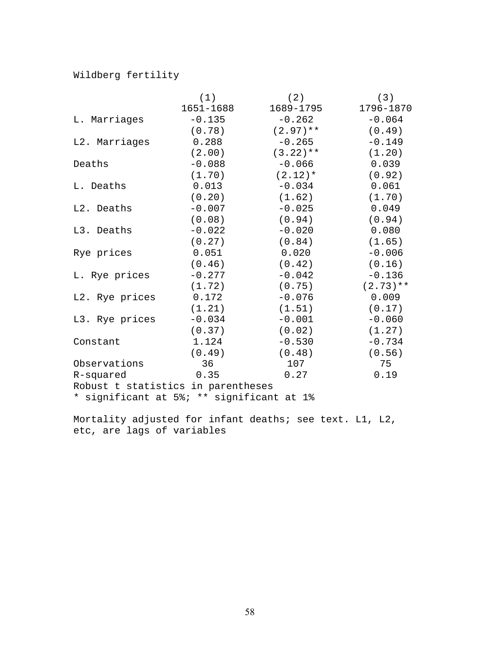## Wildberg fertility

|                                           | (1)       | (2)         | (3)         |
|-------------------------------------------|-----------|-------------|-------------|
|                                           | 1651-1688 | 1689-1795   | 1796-1870   |
| L. Marriages                              | $-0.135$  | $-0.262$    | $-0.064$    |
|                                           | (0.78)    | $(2.97)$ ** | (0.49)      |
| L2. Marriages                             | 0.288     | $-0.265$    | $-0.149$    |
|                                           | (2.00)    | $(3.22)$ ** | (1.20)      |
| Deaths                                    | $-0.088$  | $-0.066$    | 0.039       |
|                                           | (1.70)    | $(2.12)*$   | (0.92)      |
| L. Deaths                                 | 0.013     | $-0.034$    | 0.061       |
|                                           | (0.20)    | (1.62)      | (1.70)      |
| L2. Deaths                                | $-0.007$  | $-0.025$    | 0.049       |
|                                           | (0.08)    | (0.94)      | (0.94)      |
| L3. Deaths                                | $-0.022$  | $-0.020$    | 0.080       |
|                                           | (0.27)    | (0.84)      | (1.65)      |
| Rye prices                                | 0.051     | 0.020       | $-0.006$    |
|                                           | (0.46)    | (0.42)      | (0.16)      |
| L. Rye prices                             | $-0.277$  | $-0.042$    | $-0.136$    |
|                                           | (1.72)    | (0.75)      | $(2.73)$ ** |
| L2. Rye prices                            | 0.172     | $-0.076$    | 0.009       |
|                                           | (1.21)    | (1.51)      | (0.17)      |
| L3. Rye prices                            | $-0.034$  | $-0.001$    | $-0.060$    |
|                                           | (0.37)    | (0.02)      | (1.27)      |
| Constant                                  | 1.124     | $-0.530$    | $-0.734$    |
|                                           | (0.49)    | (0.48)      | (0.56)      |
| Observations                              | 36        | 107         | 75          |
| R-squared                                 | 0.35      | 0.27        | 0.19        |
| Robust t statistics in parentheses        |           |             |             |
| * significant at 5%; ** significant at 1% |           |             |             |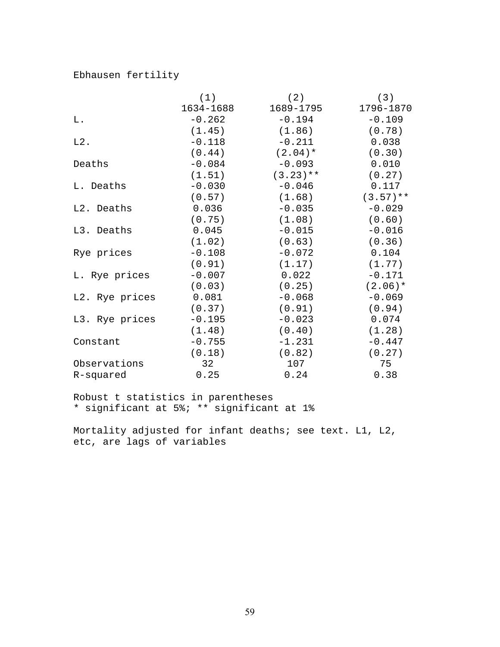## Ebhausen fertility

|                | (1)       | (2)         | (3)         |
|----------------|-----------|-------------|-------------|
|                | 1634-1688 | 1689-1795   | 1796-1870   |
| L.             | $-0.262$  | $-0.194$    | $-0.109$    |
|                | (1.45)    | (1.86)      | (0.78)      |
| $L2$ .         | $-0.118$  | $-0.211$    | 0.038       |
|                | (0.44)    | $(2.04)$ *  | (0.30)      |
| Deaths         | $-0.084$  | $-0.093$    | 0.010       |
|                | (1.51)    | $(3.23)$ ** | (0.27)      |
| L. Deaths      | $-0.030$  | $-0.046$    | 0.117       |
|                | (0.57)    | (1.68)      | $(3.57)$ ** |
| L2. Deaths     | 0.036     | $-0.035$    | $-0.029$    |
|                | (0.75)    | (1.08)      | (0.60)      |
| L3. Deaths     | 0.045     | $-0.015$    | $-0.016$    |
|                | (1.02)    | (0.63)      | (0.36)      |
| Rye prices     | $-0.108$  | $-0.072$    | 0.104       |
|                | (0.91)    | (1.17)      | (1.77)      |
| L. Rye prices  | $-0.007$  | 0.022       | $-0.171$    |
|                | (0.03)    | (0.25)      | $(2.06)*$   |
| L2. Rye prices | 0.081     | $-0.068$    | $-0.069$    |
|                | (0.37)    | (0.91)      | (0.94)      |
| L3. Rye prices | $-0.195$  | $-0.023$    | 0.074       |
|                | (1.48)    | (0.40)      | (1.28)      |
| Constant       | $-0.755$  | $-1.231$    | $-0.447$    |
|                | (0.18)    | (0.82)      | (0.27)      |
| Observations   | 32        | 107         | 75          |
| R-squared      | 0.25      | 0.24        | 0.38        |

Robust t statistics in parentheses \* significant at 5%; \*\* significant at 1%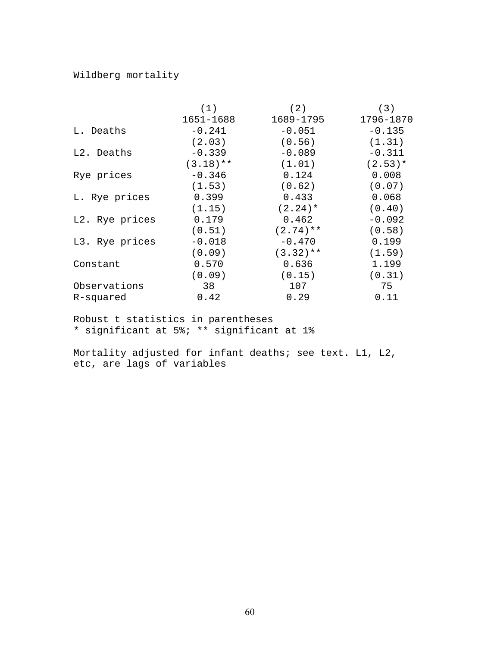## Wildberg mortality

|                | (1)         | (2)         | (3)       |
|----------------|-------------|-------------|-----------|
|                | 1651-1688   | 1689-1795   | 1796-1870 |
| L. Deaths      | $-0.241$    | $-0.051$    | $-0.135$  |
|                | (2.03)      | (0.56)      | (1.31)    |
| L2. Deaths     | $-0.339$    | $-0.089$    | $-0.311$  |
|                | $(3.18)$ ** | (1.01)      | $(2.53)*$ |
| Rye prices     | $-0.346$    | 0.124       | 0.008     |
|                | (1.53)      | (0.62)      | (0.07)    |
| L. Rye prices  | 0.399       | 0.433       | 0.068     |
|                | (1.15)      | $(2.24)$ *  | (0.40)    |
| L2. Rye prices | 0.179       | 0.462       | $-0.092$  |
|                | (0.51)      | $(2.74)$ ** | (0.58)    |
| L3. Rye prices | $-0.018$    | $-0.470$    | 0.199     |
|                | (0.09)      | $(3.32)$ ** | (1.59)    |
| Constant       | 0.570       | 0.636       | 1.199     |
|                | (0.09)      | (0.15)      | (0.31)    |
| Observations   | 38          | 107         | 75        |
| R-squared      | 0.42        | 0.29        | 0.11      |

Robust t statistics in parentheses \* significant at 5%; \*\* significant at 1%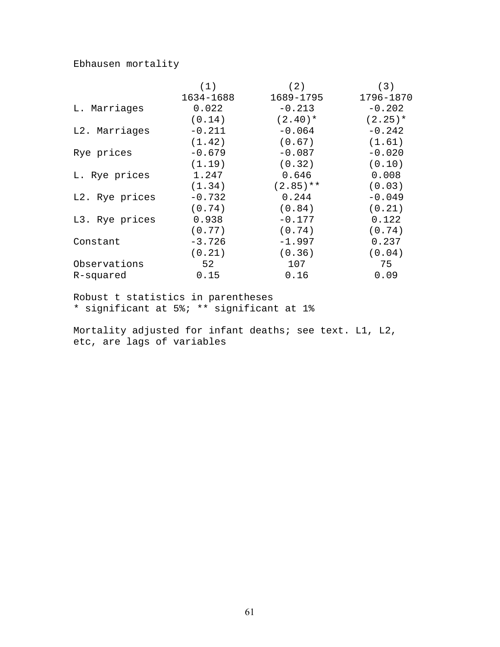## Ebhausen mortality

|                | (1)       | (2)         | (3)        |
|----------------|-----------|-------------|------------|
|                | 1634-1688 | 1689-1795   | 1796-1870  |
| L. Marriages   | 0.022     | $-0.213$    | $-0.202$   |
|                | (0.14)    | $(2.40)*$   | $(2.25)$ * |
| L2. Marriages  | $-0.211$  | $-0.064$    | $-0.242$   |
|                | (1.42)    | (0.67)      | (1.61)     |
| Rye prices     | $-0.679$  | $-0.087$    | $-0.020$   |
|                | (1.19)    | (0.32)      | (0.10)     |
| L. Rye prices  | 1.247     | 0.646       | 0.008      |
|                | (1.34)    | $(2.85)$ ** | (0.03)     |
| L2. Rye prices | $-0.732$  | 0.244       | $-0.049$   |
|                | (0.74)    | (0.84)      | (0.21)     |
| L3. Rye prices | 0.938     | $-0.177$    | 0.122      |
|                | (0.77)    | (0.74)      | (0.74)     |
| Constant       | $-3.726$  | $-1.997$    | 0.237      |
|                | (0.21)    | (0.36)      | (0.04)     |
| Observations   | 52        | 107         | 75         |
| R-squared      | 0.15      | 0.16        | 0.09       |

Robust t statistics in parentheses \* significant at 5%; \*\* significant at 1%